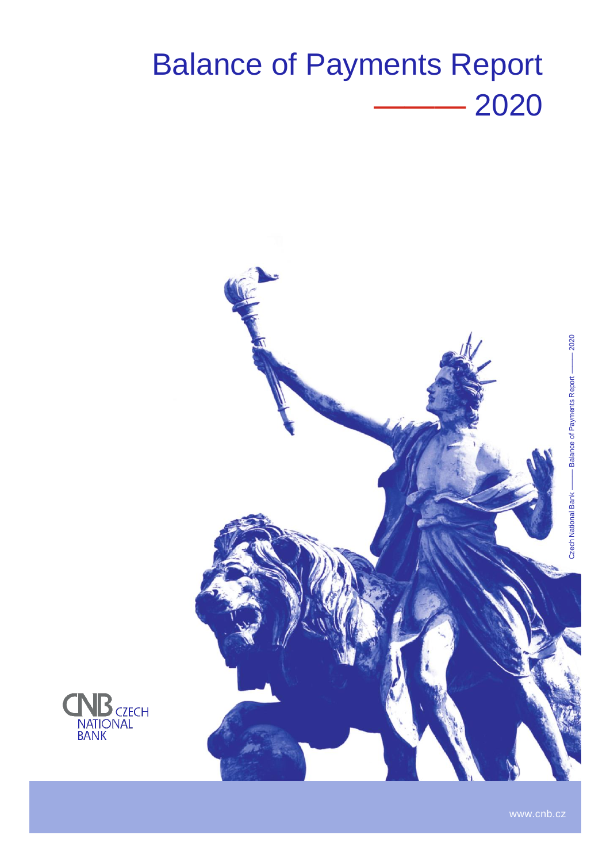# Balance of Payments Report ——— 2020



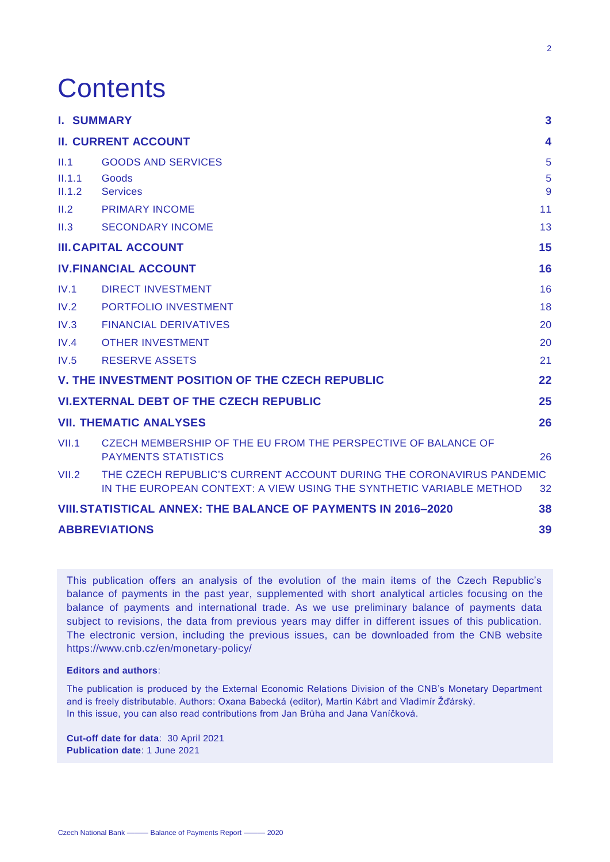# **Contents**

|        | <b>I. SUMMARY</b>                                                                                                                           | $\mathbf{3}$            |
|--------|---------------------------------------------------------------------------------------------------------------------------------------------|-------------------------|
|        | <b>II. CURRENT ACCOUNT</b>                                                                                                                  | $\overline{\mathbf{4}}$ |
| II.1   | <b>GOODS AND SERVICES</b>                                                                                                                   | 5                       |
| II.1.1 | Goods                                                                                                                                       | 5                       |
| II.1.2 | <b>Services</b>                                                                                                                             | 9                       |
| II.2   | <b>PRIMARY INCOME</b>                                                                                                                       | 11                      |
| II.3   | <b>SECONDARY INCOME</b>                                                                                                                     | 13                      |
|        | <b>III. CAPITAL ACCOUNT</b>                                                                                                                 | 15                      |
|        | <b>IV.FINANCIAL ACCOUNT</b>                                                                                                                 | 16                      |
| IV.1   | <b>DIRECT INVESTMENT</b>                                                                                                                    | 16                      |
| IV.2   | PORTFOLIO INVESTMENT                                                                                                                        | 18                      |
| IV.3   | <b>FINANCIAL DERIVATIVES</b>                                                                                                                | 20                      |
| IV.4   | <b>OTHER INVESTMENT</b>                                                                                                                     | 20                      |
| IV.5   | <b>RESERVE ASSETS</b>                                                                                                                       | 21                      |
|        | V. THE INVESTMENT POSITION OF THE CZECH REPUBLIC                                                                                            | 22                      |
|        | <b>VI.EXTERNAL DEBT OF THE CZECH REPUBLIC</b>                                                                                               | 25                      |
|        | <b>VII. THEMATIC ANALYSES</b>                                                                                                               | 26                      |
| VII.1  | CZECH MEMBERSHIP OF THE EU FROM THE PERSPECTIVE OF BALANCE OF<br><b>PAYMENTS STATISTICS</b>                                                 | 26                      |
| VII.2  | THE CZECH REPUBLIC'S CURRENT ACCOUNT DURING THE CORONAVIRUS PANDEMIC<br>IN THE EUROPEAN CONTEXT: A VIEW USING THE SYNTHETIC VARIABLE METHOD | 32                      |
|        | <b>VIII. STATISTICAL ANNEX: THE BALANCE OF PAYMENTS IN 2016-2020</b>                                                                        | 38                      |
|        | <b>ABBREVIATIONS</b>                                                                                                                        | 39                      |

This publication offers an analysis of the evolution of the main items of the Czech Republic's balance of payments in the past year, supplemented with short analytical articles focusing on the balance of payments and international trade. As we use preliminary balance of payments data subject to revisions, the data from previous years may differ in different issues of this publication. The electronic version, including the previous issues, can be downloaded from the CNB website https://www.cnb.cz/en/monetary-policy/

#### **Editors and authors**:

The publication is produced by the External Economic Relations Division of the CNB's Monetary Department and is freely distributable. Authors: Oxana Babecká (editor), Martin Kábrt and Vladimír Žďárský. In this issue, you can also read contributions from Jan Brůha and Jana Vaníčková.

**Cut-off date for data**: 30 April 2021 **Publication date**: 1 June 2021

2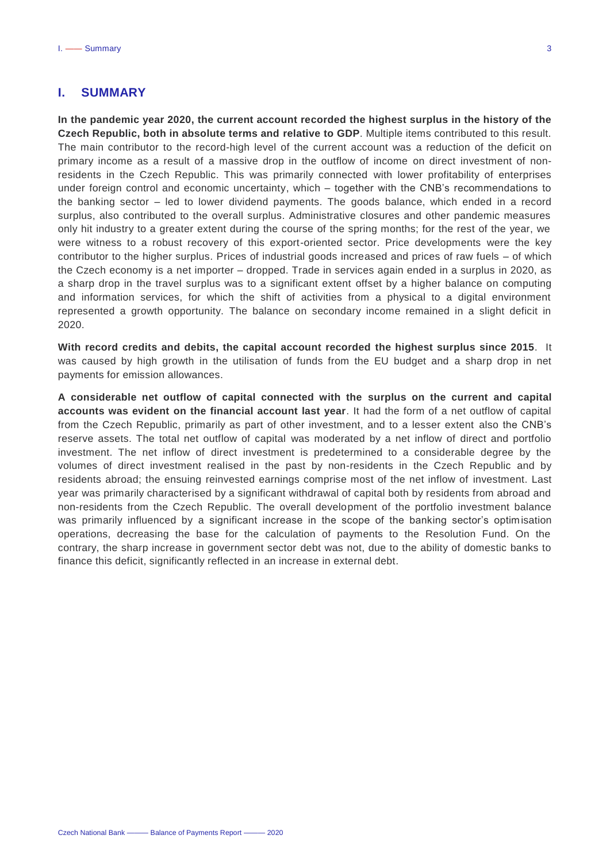## <span id="page-2-0"></span>**I. SUMMARY**

**In the pandemic year 2020, the current account recorded the highest surplus in the history of the Czech Republic, both in absolute terms and relative to GDP**. Multiple items contributed to this result. The main contributor to the record-high level of the current account was a reduction of the deficit on primary income as a result of a massive drop in the outflow of income on direct investment of nonresidents in the Czech Republic. This was primarily connected with lower profitability of enterprises under foreign control and economic uncertainty, which – together with the CNB's recommendations to the banking sector – led to lower dividend payments. The goods balance, which ended in a record surplus, also contributed to the overall surplus. Administrative closures and other pandemic measures only hit industry to a greater extent during the course of the spring months; for the rest of the year, we were witness to a robust recovery of this export-oriented sector. Price developments were the key contributor to the higher surplus. Prices of industrial goods increased and prices of raw fuels – of which the Czech economy is a net importer – dropped. Trade in services again ended in a surplus in 2020, as a sharp drop in the travel surplus was to a significant extent offset by a higher balance on computing and information services, for which the shift of activities from a physical to a digital environment represented a growth opportunity. The balance on secondary income remained in a slight deficit in 2020.

**With record credits and debits, the capital account recorded the highest surplus since 2015**. It was caused by high growth in the utilisation of funds from the EU budget and a sharp drop in net payments for emission allowances.

**A considerable net outflow of capital connected with the surplus on the current and capital accounts was evident on the financial account last year**. It had the form of a net outflow of capital from the Czech Republic, primarily as part of other investment, and to a lesser extent also the CNB's reserve assets. The total net outflow of capital was moderated by a net inflow of direct and portfolio investment. The net inflow of direct investment is predetermined to a considerable degree by the volumes of direct investment realised in the past by non-residents in the Czech Republic and by residents abroad; the ensuing reinvested earnings comprise most of the net inflow of investment. Last year was primarily characterised by a significant withdrawal of capital both by residents from abroad and non-residents from the Czech Republic. The overall development of the portfolio investment balance was primarily influenced by a significant increase in the scope of the banking sector's optimisation operations, decreasing the base for the calculation of payments to the Resolution Fund. On the contrary, the sharp increase in government sector debt was not, due to the ability of domestic banks to finance this deficit, significantly reflected in an increase in external debt.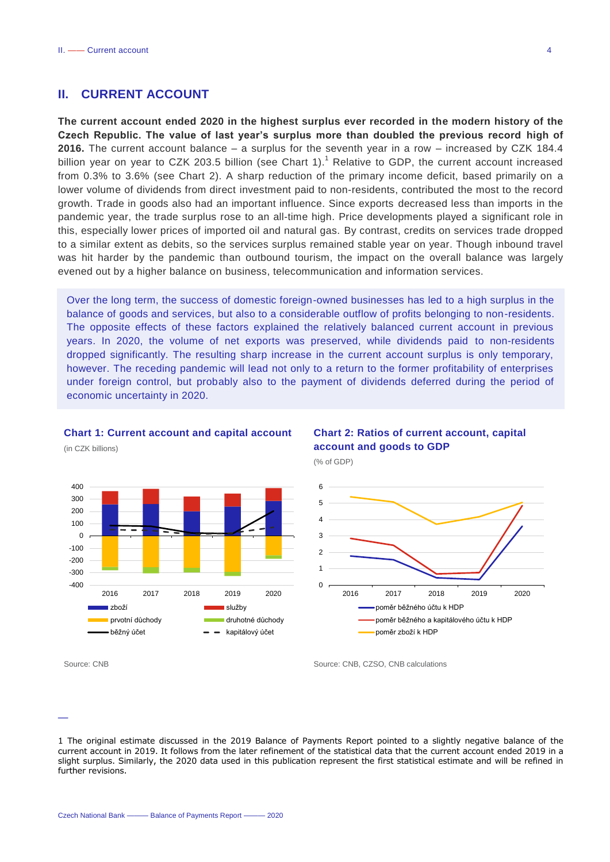## <span id="page-3-0"></span>**II. CURRENT ACCOUNT**

**The current account ended 2020 in the highest surplus ever recorded in the modern history of the Czech Republic. The value of last year's surplus more than doubled the previous record high of 2016.** The current account balance – a surplus for the seventh year in a row – increased by CZK 184.4 billion year on year to CZK 203.5 billion (see Chart 1).<sup>1</sup> Relative to GDP, the current account increased from 0.3% to 3.6% (see Chart 2). A sharp reduction of the primary income deficit, based primarily on a lower volume of dividends from direct investment paid to non-residents, contributed the most to the record growth. Trade in goods also had an important influence. Since exports decreased less than imports in the pandemic year, the trade surplus rose to an all-time high. Price developments played a significant role in this, especially lower prices of imported oil and natural gas. By contrast, credits on services trade dropped to a similar extent as debits, so the services surplus remained stable year on year. Though inbound travel was hit harder by the pandemic than outbound tourism, the impact on the overall balance was largely evened out by a higher balance on business, telecommunication and information services.

Over the long term, the success of domestic foreign-owned businesses has led to a high surplus in the balance of goods and services, but also to a considerable outflow of profits belonging to non-residents. The opposite effects of these factors explained the relatively balanced current account in previous years. In 2020, the volume of net exports was preserved, while dividends paid to non-residents dropped significantly. The resulting sharp increase in the current account surplus is only temporary, however. The receding pandemic will lead not only to a return to the former profitability of enterprises under foreign control, but probably also to the payment of dividends deferred during the period of economic uncertainty in 2020.

#### **Chart 1: Current account and capital account**



#### (in CZK billions)



Source: CNB Source: CNB Source: CNB, CZSO, CNB calculations





<sup>1</sup> The original estimate discussed in the 2019 Balance of Payments Report pointed to a slightly negative balance of the current account in 2019. It follows from the later refinement of the statistical data that the current account ended 2019 in a slight surplus. Similarly, the 2020 data used in this publication represent the first statistical estimate and will be refined in further revisions.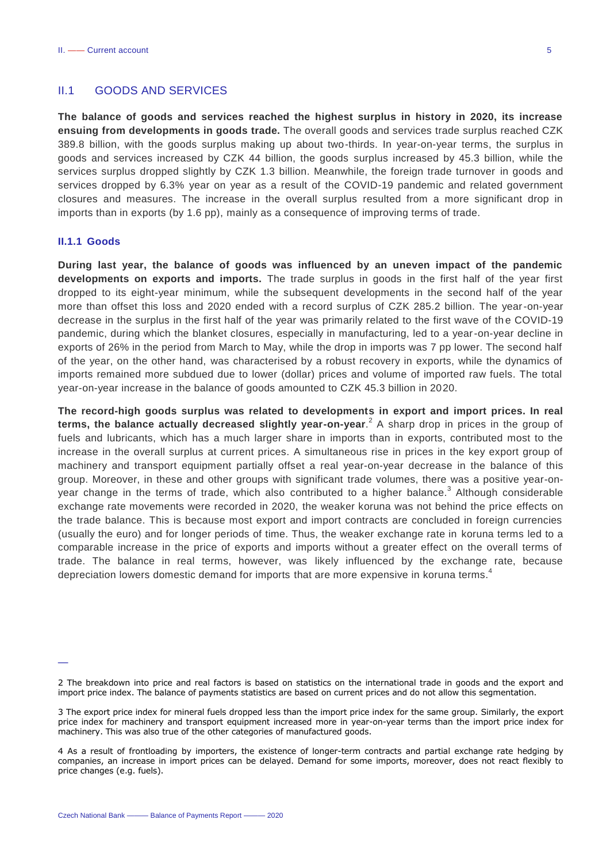### <span id="page-4-0"></span>II.1 GOODS AND SERVICES

**The balance of goods and services reached the highest surplus in history in 2020, its increase ensuing from developments in goods trade.** The overall goods and services trade surplus reached CZK 389.8 billion, with the goods surplus making up about two-thirds. In year-on-year terms, the surplus in goods and services increased by CZK 44 billion, the goods surplus increased by 45.3 billion, while the services surplus dropped slightly by CZK 1.3 billion. Meanwhile, the foreign trade turnover in goods and services dropped by 6.3% year on year as a result of the COVID-19 pandemic and related government closures and measures. The increase in the overall surplus resulted from a more significant drop in imports than in exports (by 1.6 pp), mainly as a consequence of improving terms of trade.

#### <span id="page-4-1"></span>**II.1.1 Goods**

—

**During last year, the balance of goods was influenced by an uneven impact of the pandemic developments on exports and imports.** The trade surplus in goods in the first half of the year first dropped to its eight-year minimum, while the subsequent developments in the second half of the year more than offset this loss and 2020 ended with a record surplus of CZK 285.2 billion. The year-on-year decrease in the surplus in the first half of the year was primarily related to the first wave of the COVID-19 pandemic, during which the blanket closures, especially in manufacturing, led to a year-on-year decline in exports of 26% in the period from March to May, while the drop in imports was 7 pp lower. The second half of the year, on the other hand, was characterised by a robust recovery in exports, while the dynamics of imports remained more subdued due to lower (dollar) prices and volume of imported raw fuels. The total year-on-year increase in the balance of goods amounted to CZK 45.3 billion in 2020.

**The record-high goods surplus was related to developments in export and import prices. In real terms, the balance actually decreased slightly year-on-year**. 2 A sharp drop in prices in the group of fuels and lubricants, which has a much larger share in imports than in exports, contributed most to the increase in the overall surplus at current prices. A simultaneous rise in prices in the key export group of machinery and transport equipment partially offset a real year-on-year decrease in the balance of this group. Moreover, in these and other groups with significant trade volumes, there was a positive year-onyear change in the terms of trade, which also contributed to a higher balance.<sup>3</sup> Although considerable exchange rate movements were recorded in 2020, the weaker koruna was not behind the price effects on the trade balance. This is because most export and import contracts are concluded in foreign currencies (usually the euro) and for longer periods of time. Thus, the weaker exchange rate in koruna terms led to a comparable increase in the price of exports and imports without a greater effect on the overall terms of trade. The balance in real terms, however, was likely influenced by the exchange rate, because depreciation lowers domestic demand for imports that are more expensive in koruna terms.<sup>4</sup>

<sup>2</sup> The breakdown into price and real factors is based on statistics on the international trade in goods and the export and import price index. The balance of payments statistics are based on current prices and do not allow this segmentation.

<sup>3</sup> The export price index for mineral fuels dropped less than the import price index for the same group. Similarly, the export price index for machinery and transport equipment increased more in year-on-year terms than the import price index for machinery. This was also true of the other categories of manufactured goods.

<sup>4</sup> As a result of frontloading by importers, the existence of longer-term contracts and partial exchange rate hedging by companies, an increase in import prices can be delayed. Demand for some imports, moreover, does not react flexibly to price changes (e.g. fuels).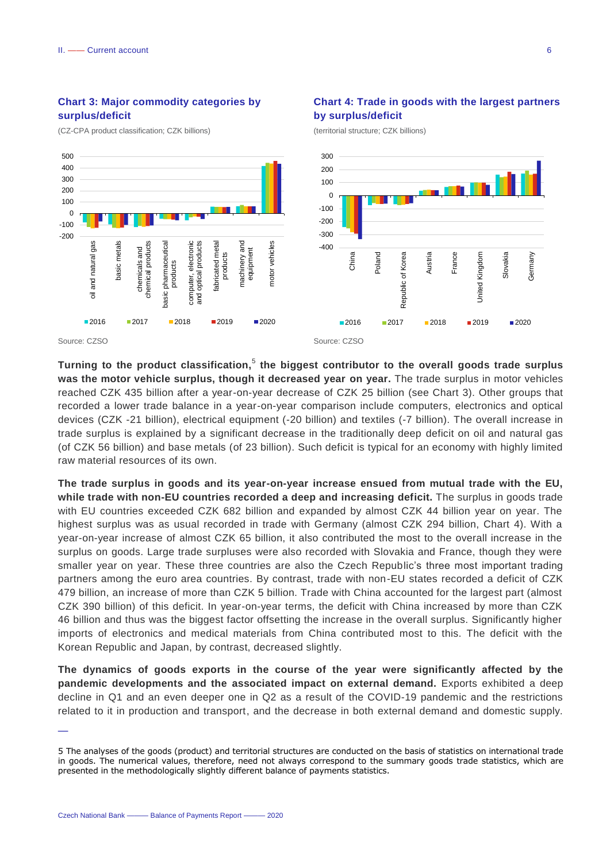### **Chart 3: Major commodity categories by surplus/deficit**

(CZ-CPA product classification; CZK billions)



(territorial structure; CZK billions)



Turning to the product classification,<sup>5</sup> the biggest contributor to the overall goods trade surplus **was the motor vehicle surplus, though it decreased year on year.** The trade surplus in motor vehicles reached CZK 435 billion after a year-on-year decrease of CZK 25 billion (see Chart 3). Other groups that recorded a lower trade balance in a year-on-year comparison include computers, electronics and optical devices (CZK -21 billion), electrical equipment (-20 billion) and textiles (-7 billion). The overall increase in trade surplus is explained by a significant decrease in the traditionally deep deficit on oil and natural gas (of CZK 56 billion) and base metals (of 23 billion). Such deficit is typical for an economy with highly limited raw material resources of its own.

**The trade surplus in goods and its year-on-year increase ensued from mutual trade with the EU, while trade with non-EU countries recorded a deep and increasing deficit.** The surplus in goods trade with EU countries exceeded CZK 682 billion and expanded by almost CZK 44 billion year on year. The highest surplus was as usual recorded in trade with Germany (almost CZK 294 billion, Chart 4). With a year-on-year increase of almost CZK 65 billion, it also contributed the most to the overall increase in the surplus on goods. Large trade surpluses were also recorded with Slovakia and France, though they were smaller year on year. These three countries are also the Czech Republic's three most important trading partners among the euro area countries. By contrast, trade with non-EU states recorded a deficit of CZK 479 billion, an increase of more than CZK 5 billion. Trade with China accounted for the largest part (almost CZK 390 billion) of this deficit. In year-on-year terms, the deficit with China increased by more than CZK 46 billion and thus was the biggest factor offsetting the increase in the overall surplus. Significantly higher imports of electronics and medical materials from China contributed most to this. The deficit with the Korean Republic and Japan, by contrast, decreased slightly.

**The dynamics of goods exports in the course of the year were significantly affected by the pandemic developments and the associated impact on external demand.** Exports exhibited a deep decline in Q1 and an even deeper one in Q2 as a result of the COVID-19 pandemic and the restrictions related to it in production and transport, and the decrease in both external demand and domestic supply.

<sup>5</sup> The analyses of the goods (product) and territorial structures are conducted on the basis of statistics on international trade in goods. The numerical values, therefore, need not always correspond to the summary goods trade statistics, which are presented in the methodologically slightly different balance of payments statistics.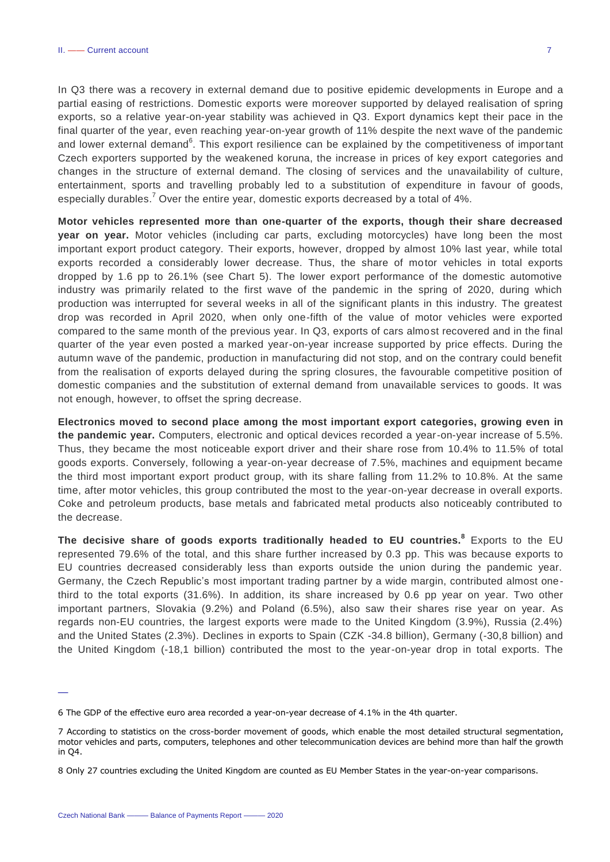In Q3 there was a recovery in external demand due to positive epidemic developments in Europe and a partial easing of restrictions. Domestic exports were moreover supported by delayed realisation of spring exports, so a relative year-on-year stability was achieved in Q3. Export dynamics kept their pace in the final quarter of the year, even reaching year-on-year growth of 11% despite the next wave of the pandemic and lower external demand<sup>6</sup>. This export resilience can be explained by the competitiveness of important Czech exporters supported by the weakened koruna, the increase in prices of key export categories and changes in the structure of external demand. The closing of services and the unavailability of culture, entertainment, sports and travelling probably led to a substitution of expenditure in favour of goods, especially durables.<sup>7</sup> Over the entire year, domestic exports decreased by a total of 4%.

**Motor vehicles represented more than one-quarter of the exports, though their share decreased year on year.** Motor vehicles (including car parts, excluding motorcycles) have long been the most important export product category. Their exports, however, dropped by almost 10% last year, while total exports recorded a considerably lower decrease. Thus, the share of motor vehicles in total exports dropped by 1.6 pp to 26.1% (see Chart 5). The lower export performance of the domestic automotive industry was primarily related to the first wave of the pandemic in the spring of 2020, during which production was interrupted for several weeks in all of the significant plants in this industry. The greatest drop was recorded in April 2020, when only one-fifth of the value of motor vehicles were exported compared to the same month of the previous year. In Q3, exports of cars almost recovered and in the final quarter of the year even posted a marked year-on-year increase supported by price effects. During the autumn wave of the pandemic, production in manufacturing did not stop, and on the contrary could benefit from the realisation of exports delayed during the spring closures, the favourable competitive position of domestic companies and the substitution of external demand from unavailable services to goods. It was not enough, however, to offset the spring decrease.

**Electronics moved to second place among the most important export categories, growing even in the pandemic year.** Computers, electronic and optical devices recorded a year-on-year increase of 5.5%. Thus, they became the most noticeable export driver and their share rose from 10.4% to 11.5% of total goods exports. Conversely, following a year-on-year decrease of 7.5%, machines and equipment became the third most important export product group, with its share falling from 11.2% to 10.8%. At the same time, after motor vehicles, this group contributed the most to the year-on-year decrease in overall exports. Coke and petroleum products, base metals and fabricated metal products also noticeably contributed to the decrease.

**The decisive share of goods exports traditionally headed to EU countries.<sup>8</sup>** Exports to the EU represented 79.6% of the total, and this share further increased by 0.3 pp. This was because exports to EU countries decreased considerably less than exports outside the union during the pandemic year. Germany, the Czech Republic's most important trading partner by a wide margin, contributed almost onethird to the total exports (31.6%). In addition, its share increased by 0.6 pp year on year. Two other important partners, Slovakia (9.2%) and Poland (6.5%), also saw their shares rise year on year. As regards non-EU countries, the largest exports were made to the United Kingdom (3.9%), Russia (2.4%) and the United States (2.3%). Declines in exports to Spain (CZK -34.8 billion), Germany (-30,8 billion) and the United Kingdom (-18,1 billion) contributed the most to the year-on-year drop in total exports. The

<sup>6</sup> The GDP of the effective euro area recorded a year-on-year decrease of 4.1% in the 4th quarter.

<sup>7</sup> According to statistics on the cross-border movement of goods, which enable the most detailed structural segmentation, motor vehicles and parts, computers, telephones and other telecommunication devices are behind more than half the growth in Q4.

<sup>8</sup> Only 27 countries excluding the United Kingdom are counted as EU Member States in the year-on-year comparisons.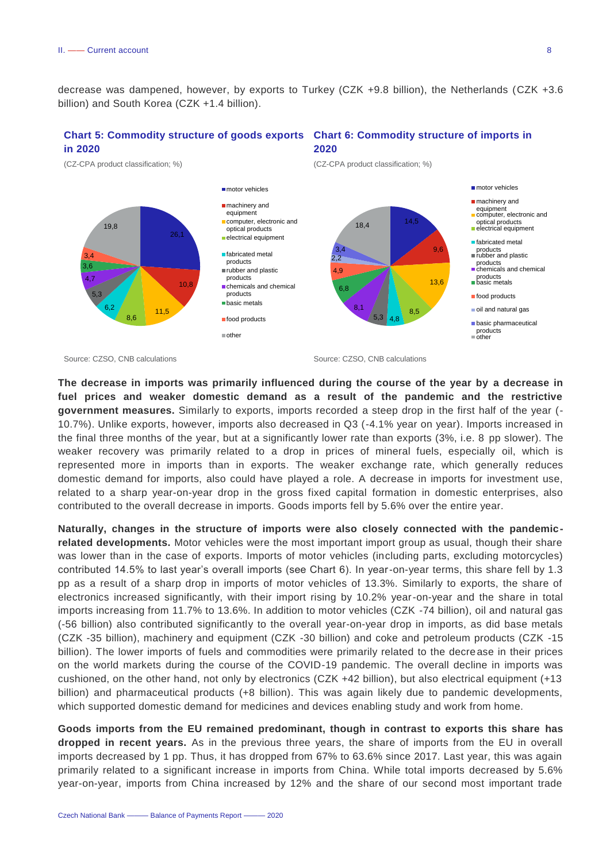decrease was dampened, however, by exports to Turkey (CZK +9.8 billion), the Netherlands (CZK +3.6 billion) and South Korea (CZK +1.4 billion).

#### **Chart 5: Commodity structure of goods exports Chart 6: Commodity structure of imports in in 2020 2020**



Source: CZSO, CNB calculations Source: CZSO, CNB calculations Source: CZSO, CNB calculations

**The decrease in imports was primarily influenced during the course of the year by a decrease in fuel prices and weaker domestic demand as a result of the pandemic and the restrictive government measures.** Similarly to exports, imports recorded a steep drop in the first half of the year (- 10.7%). Unlike exports, however, imports also decreased in Q3 (-4.1% year on year). Imports increased in the final three months of the year, but at a significantly lower rate than exports (3%, i.e. 8 pp slower). The weaker recovery was primarily related to a drop in prices of mineral fuels, especially oil, which is represented more in imports than in exports. The weaker exchange rate, which generally reduces domestic demand for imports, also could have played a role. A decrease in imports for investment use, related to a sharp year-on-year drop in the gross fixed capital formation in domestic enterprises, also contributed to the overall decrease in imports. Goods imports fell by 5.6% over the entire year.

**Naturally, changes in the structure of imports were also closely connected with the pandemic**related developments. Motor vehicles were the most important import group as usual, though their share was lower than in the case of exports. Imports of motor vehicles (including parts, excluding motorcycles) contributed 14.5% to last year's overall imports (see Chart 6). In year-on-year terms, this share fell by 1.3 pp as a result of a sharp drop in imports of motor vehicles of 13.3%. Similarly to exports, the share of electronics increased significantly, with their import rising by 10.2% year-on-year and the share in total imports increasing from 11.7% to 13.6%. In addition to motor vehicles (CZK -74 billion), oil and natural gas (-56 billion) also contributed significantly to the overall year-on-year drop in imports, as did base metals (CZK -35 billion), machinery and equipment (CZK -30 billion) and coke and petroleum products (CZK -15 billion). The lower imports of fuels and commodities were primarily related to the decrease in their prices on the world markets during the course of the COVID-19 pandemic. The overall decline in imports was cushioned, on the other hand, not only by electronics (CZK +42 billion), but also electrical equipment (+13 billion) and pharmaceutical products (+8 billion). This was again likely due to pandemic developments, which supported domestic demand for medicines and devices enabling study and work from home.

**Goods imports from the EU remained predominant, though in contrast to exports this share has dropped in recent years.** As in the previous three years, the share of imports from the EU in overall imports decreased by 1 pp. Thus, it has dropped from 67% to 63.6% since 2017. Last year, this was again primarily related to a significant increase in imports from China. While total imports decreased by 5.6% year-on-year, imports from China increased by 12% and the share of our second most important trade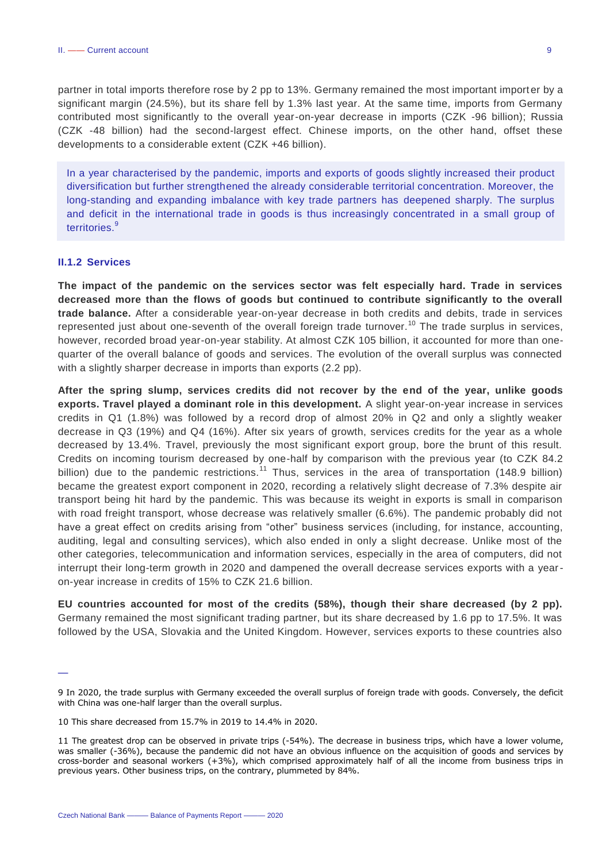partner in total imports therefore rose by 2 pp to 13%. Germany remained the most important importer by a significant margin (24.5%), but its share fell by 1.3% last year. At the same time, imports from Germany contributed most significantly to the overall year-on-year decrease in imports (CZK -96 billion); Russia (CZK -48 billion) had the second-largest effect. Chinese imports, on the other hand, offset these developments to a considerable extent (CZK +46 billion).

In a year characterised by the pandemic, imports and exports of goods slightly increased their product diversification but further strengthened the already considerable territorial concentration. Moreover, the long-standing and expanding imbalance with key trade partners has deepened sharply. The surplus and deficit in the international trade in goods is thus increasingly concentrated in a small group of territories.<sup>9</sup>

#### <span id="page-8-0"></span>**II.1.2 Services**

—

**The impact of the pandemic on the services sector was felt especially hard. Trade in services decreased more than the flows of goods but continued to contribute significantly to the overall trade balance.** After a considerable year-on-year decrease in both credits and debits, trade in services represented just about one-seventh of the overall foreign trade turnover.<sup>10</sup> The trade surplus in services, however, recorded broad year-on-year stability. At almost CZK 105 billion, it accounted for more than onequarter of the overall balance of goods and services. The evolution of the overall surplus was connected with a slightly sharper decrease in imports than exports (2.2 pp).

**After the spring slump, services credits did not recover by the end of the year, unlike goods exports. Travel played a dominant role in this development.** A slight year-on-year increase in services credits in Q1 (1.8%) was followed by a record drop of almost 20% in Q2 and only a slightly weaker decrease in Q3 (19%) and Q4 (16%). After six years of growth, services credits for the year as a whole decreased by 13.4%. Travel, previously the most significant export group, bore the brunt of this result. Credits on incoming tourism decreased by one-half by comparison with the previous year (to CZK 84.2 billion) due to the pandemic restrictions.<sup>11</sup> Thus, services in the area of transportation (148.9 billion) became the greatest export component in 2020, recording a relatively slight decrease of 7.3% despite air transport being hit hard by the pandemic. This was because its weight in exports is small in comparison with road freight transport, whose decrease was relatively smaller (6.6%). The pandemic probably did not have a great effect on credits arising from "other" business services (including, for instance, accounting, auditing, legal and consulting services), which also ended in only a slight decrease. Unlike most of the other categories, telecommunication and information services, especially in the area of computers, did not interrupt their long-term growth in 2020 and dampened the overall decrease services exports with a yearon-year increase in credits of 15% to CZK 21.6 billion.

**EU countries accounted for most of the credits (58%), though their share decreased (by 2 pp).**  Germany remained the most significant trading partner, but its share decreased by 1.6 pp to 17.5%. It was followed by the USA, Slovakia and the United Kingdom. However, services exports to these countries also

<sup>9</sup> In 2020, the trade surplus with Germany exceeded the overall surplus of foreign trade with goods. Conversely, the deficit with China was one-half larger than the overall surplus.

<sup>10</sup> This share decreased from 15.7% in 2019 to 14.4% in 2020.

<sup>11</sup> The greatest drop can be observed in private trips (-54%). The decrease in business trips, which have a lower volume, was smaller (-36%), because the pandemic did not have an obvious influence on the acquisition of goods and services by cross-border and seasonal workers (+3%), which comprised approximately half of all the income from business trips in previous years. Other business trips, on the contrary, plummeted by 84%.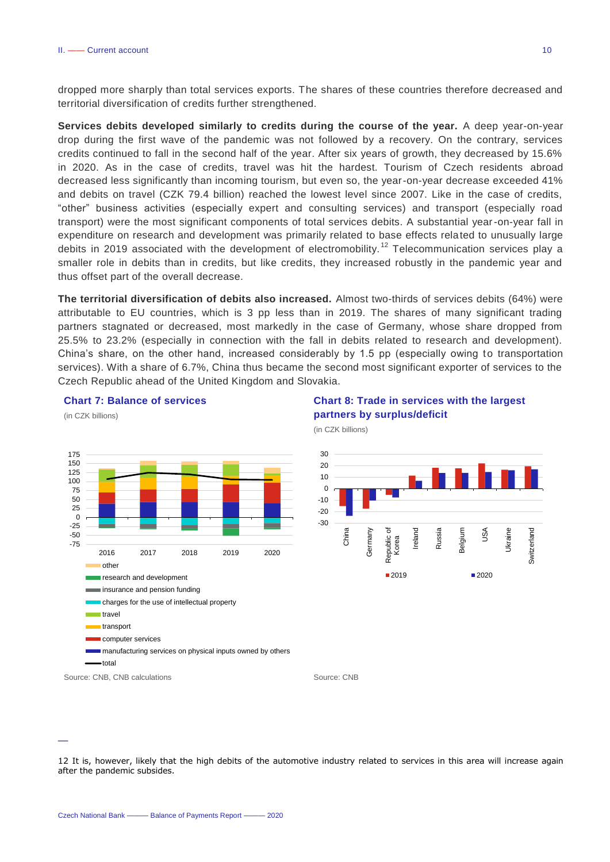dropped more sharply than total services exports. The shares of these countries therefore decreased and territorial diversification of credits further strengthened.

**Services debits developed similarly to credits during the course of the year.** A deep year-on-year drop during the first wave of the pandemic was not followed by a recovery. On the contrary, services credits continued to fall in the second half of the year. After six years of growth, they decreased by 15.6% in 2020. As in the case of credits, travel was hit the hardest. Tourism of Czech residents abroad decreased less significantly than incoming tourism, but even so, the year-on-year decrease exceeded 41% and debits on travel (CZK 79.4 billion) reached the lowest level since 2007. Like in the case of credits, "other" business activities (especially expert and consulting services) and transport (especially road transport) were the most significant components of total services debits. A substantial year-on-year fall in expenditure on research and development was primarily related to base effects related to unusually large debits in 2019 associated with the development of electromobility.<sup>12</sup> Telecommunication services play a smaller role in debits than in credits, but like credits, they increased robustly in the pandemic year and thus offset part of the overall decrease.

**The territorial diversification of debits also increased.** Almost two-thirds of services debits (64%) were attributable to EU countries, which is 3 pp less than in 2019. The shares of many significant trading partners stagnated or decreased, most markedly in the case of Germany, whose share dropped from 25.5% to 23.2% (especially in connection with the fall in debits related to research and development). China's share, on the other hand, increased considerably by 1.5 pp (especially owing to transportation services). With a share of 6.7%, China thus became the second most significant exporter of services to the Czech Republic ahead of the United Kingdom and Slovakia.



#### **Chart 7: Balance of services**

## **Chart 8: Trade in services with the largest partners by surplus/deficit**

(in CZK billions)



<sup>12</sup> It is, however, likely that the high debits of the automotive industry related to services in this area will increase again after the pandemic subsides.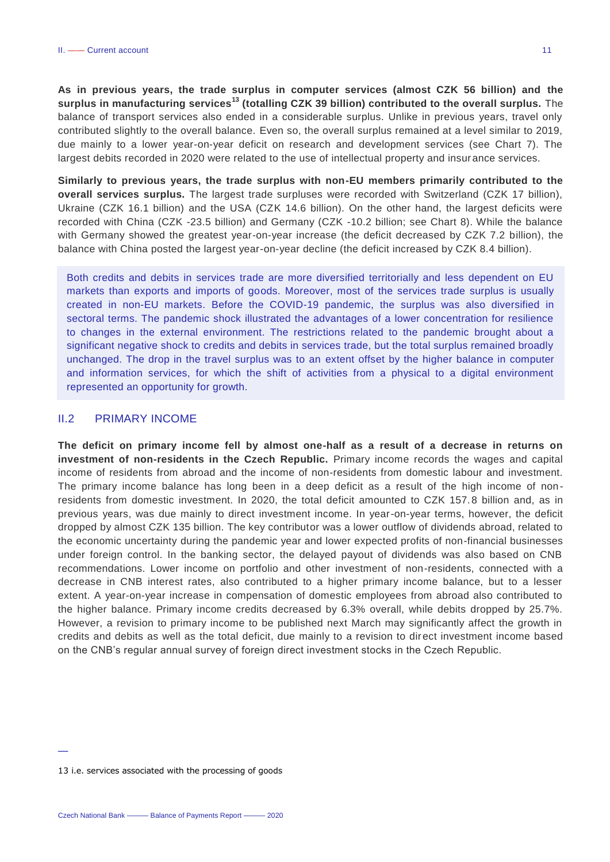**As in previous years, the trade surplus in computer services (almost CZK 56 billion) and the surplus in manufacturing services<sup>13</sup> (totalling CZK 39 billion) contributed to the overall surplus.** The balance of transport services also ended in a considerable surplus. Unlike in previous years, travel only contributed slightly to the overall balance. Even so, the overall surplus remained at a level similar to 2019, due mainly to a lower year-on-year deficit on research and development services (see Chart 7). The largest debits recorded in 2020 were related to the use of intellectual property and insur ance services.

**Similarly to previous years, the trade surplus with non-EU members primarily contributed to the overall services surplus.** The largest trade surpluses were recorded with Switzerland (CZK 17 billion), Ukraine (CZK 16.1 billion) and the USA (CZK 14.6 billion). On the other hand, the largest deficits were recorded with China (CZK -23.5 billion) and Germany (CZK -10.2 billion; see Chart 8). While the balance with Germany showed the greatest year-on-year increase (the deficit decreased by CZK 7.2 billion), the balance with China posted the largest year-on-year decline (the deficit increased by CZK 8.4 billion).

Both credits and debits in services trade are more diversified territorially and less dependent on EU markets than exports and imports of goods. Moreover, most of the services trade surplus is usually created in non-EU markets. Before the COVID-19 pandemic, the surplus was also diversified in sectoral terms. The pandemic shock illustrated the advantages of a lower concentration for resilience to changes in the external environment. The restrictions related to the pandemic brought about a significant negative shock to credits and debits in services trade, but the total surplus remained broadly unchanged. The drop in the travel surplus was to an extent offset by the higher balance in computer and information services, for which the shift of activities from a physical to a digital environment represented an opportunity for growth.

## <span id="page-10-0"></span>II.2 PRIMARY INCOME

**The deficit on primary income fell by almost one-half as a result of a decrease in returns on investment of non-residents in the Czech Republic.** Primary income records the wages and capital income of residents from abroad and the income of non-residents from domestic labour and investment. The primary income balance has long been in a deep deficit as a result of the high income of nonresidents from domestic investment. In 2020, the total deficit amounted to CZK 157.8 billion and, as in previous years, was due mainly to direct investment income. In year-on-year terms, however, the deficit dropped by almost CZK 135 billion. The key contributor was a lower outflow of dividends abroad, related to the economic uncertainty during the pandemic year and lower expected profits of non-financial businesses under foreign control. In the banking sector, the delayed payout of dividends was also based on CNB recommendations. Lower income on portfolio and other investment of non-residents, connected with a decrease in CNB interest rates, also contributed to a higher primary income balance, but to a lesser extent. A year-on-year increase in compensation of domestic employees from abroad also contributed to the higher balance. Primary income credits decreased by 6.3% overall, while debits dropped by 25.7%. However, a revision to primary income to be published next March may significantly affect the growth in credits and debits as well as the total deficit, due mainly to a revision to direct investment income based on the CNB's regular annual survey of foreign direct investment stocks in the Czech Republic.

<sup>13</sup> i.e. services associated with the processing of goods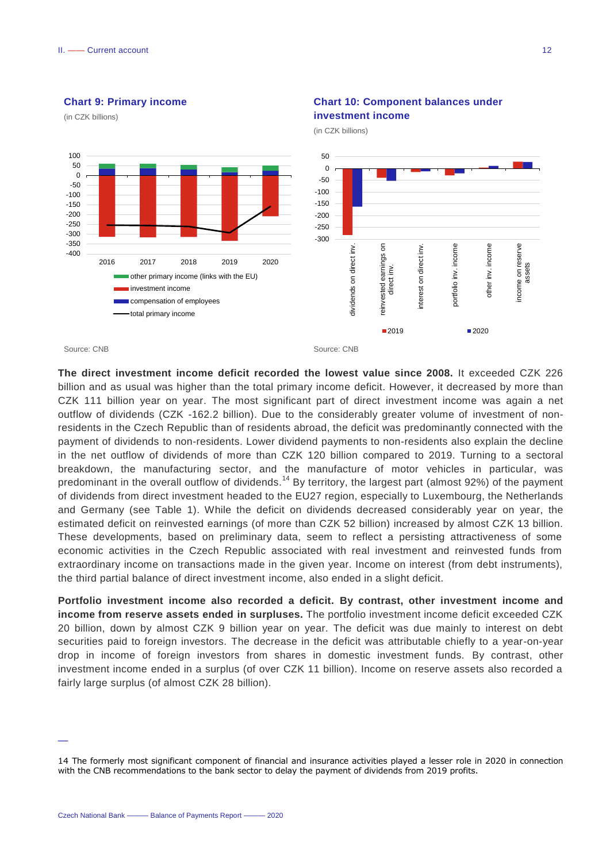-400 -350 -300 -250 -200 -150 -100 -50 0 50 100



2016 2017 2018 2019 2020 other primary income (links with the EU)

> investment income compensation of employees total primary income

# **Chart 10: Component balances under**

Source: CNB Source: CNB **The direct investment income deficit recorded the lowest value since 2008.** It exceeded CZK 226 billion and as usual was higher than the total primary income deficit. However, it decreased by more than CZK 111 billion year on year. The most significant part of direct investment income was again a net outflow of dividends (CZK -162.2 billion). Due to the considerably greater volume of investment of nonresidents in the Czech Republic than of residents abroad, the deficit was predominantly connected with the payment of dividends to non-residents. Lower dividend payments to non-residents also explain the decline in the net outflow of dividends of more than CZK 120 billion compared to 2019. Turning to a sectoral breakdown, the manufacturing sector, and the manufacture of motor vehicles in particular, was predominant in the overall outflow of dividends.<sup>14</sup> By territory, the largest part (almost 92%) of the payment of dividends from direct investment headed to the EU27 region, especially to Luxembourg, the Netherlands and Germany (see Table 1). While the deficit on dividends decreased considerably year on year, the estimated deficit on reinvested earnings (of more than CZK 52 billion) increased by almost CZK 13 billion. These developments, based on preliminary data, seem to reflect a persisting attractiveness of some economic activities in the Czech Republic associated with real investment and reinvested funds from extraordinary income on transactions made in the given year. Income on interest (from debt instruments),

-300 -250 -200 -150

dividends on direct inv.

dividends on direct inv.

reinvested earnings on reinvested earni

 $\overline{5}$ 

earnings

interest on direct inv.

nterest on direct

 $\geq$ 

**2019** 2020

portfolio inv. income

 $\geq$ 

portfolio

income

other inv. income

 $\geq$ other i

income

income on reserve assets

ncome on reserve

**Portfolio investment income also recorded a deficit. By contrast, other investment income and income from reserve assets ended in surpluses.** The portfolio investment income deficit exceeded CZK 20 billion, down by almost CZK 9 billion year on year. The deficit was due mainly to interest on debt securities paid to foreign investors. The decrease in the deficit was attributable chiefly to a year-on-year drop in income of foreign investors from shares in domestic investment funds. By contrast, other investment income ended in a surplus (of over CZK 11 billion). Income on reserve assets also recorded a fairly large surplus (of almost CZK 28 billion).

the third partial balance of direct investment income, also ended in a slight deficit.

<sup>14</sup> The formerly most significant component of financial and insurance activities played a lesser role in 2020 in connection with the CNB recommendations to the bank sector to delay the payment of dividends from 2019 profits.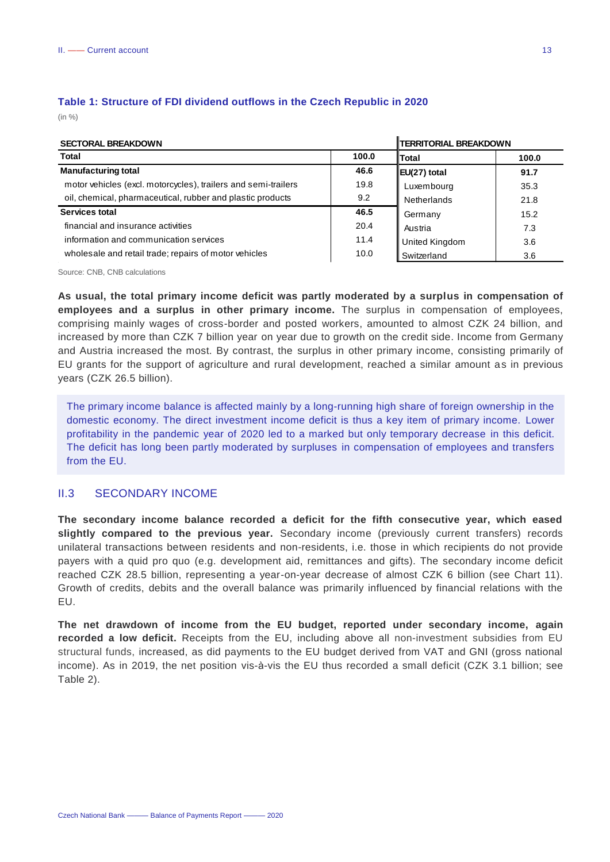| <b>SECTORAL BREAKDOWN</b>                                      |       | <b>TERRITORIAL BREAKDOWN</b> |       |  |
|----------------------------------------------------------------|-------|------------------------------|-------|--|
| Total                                                          | 100.0 | Total                        | 100.0 |  |
| <b>Manufacturing total</b>                                     | 46.6  | EU(27) total                 | 91.7  |  |
| motor vehicles (excl. motorcycles), trailers and semi-trailers | 19.8  | Luxembourg                   | 35.3  |  |
| oil, chemical, pharmaceutical, rubber and plastic products     | 9.2   | <b>Netherlands</b>           | 21.8  |  |
| Services total                                                 | 46.5  | Germany                      | 15.2  |  |
| financial and insurance activities                             | 20.4  | Austria                      | 7.3   |  |
| information and communication services                         | 11.4  | United Kingdom               | 3.6   |  |
| wholesale and retail trade; repairs of motor vehicles          | 10.0  | Switzerland                  | 3.6   |  |

 $\mathbf{u}$ 

## **Table 1: Structure of FDI dividend outflows in the Czech Republic in 2020** (in %)

Source: CNB, CNB calculations

**As usual, the total primary income deficit was partly moderated by a surplus in compensation of employees and a surplus in other primary income.** The surplus in compensation of employees, comprising mainly wages of cross-border and posted workers, amounted to almost CZK 24 billion, and increased by more than CZK 7 billion year on year due to growth on the credit side. Income from Germany and Austria increased the most. By contrast, the surplus in other primary income, consisting primarily of EU grants for the support of agriculture and rural development, reached a similar amount as in previous years (CZK 26.5 billion).

The primary income balance is affected mainly by a long-running high share of foreign ownership in the domestic economy. The direct investment income deficit is thus a key item of primary income. Lower profitability in the pandemic year of 2020 led to a marked but only temporary decrease in this deficit. The deficit has long been partly moderated by surpluses in compensation of employees and transfers from the EU.

## <span id="page-12-0"></span>II.3 SECONDARY INCOME

**The secondary income balance recorded a deficit for the fifth consecutive year, which eased slightly compared to the previous year.** Secondary income (previously current transfers) records unilateral transactions between residents and non-residents, i.e. those in which recipients do not provide payers with a quid pro quo (e.g. development aid, remittances and gifts). The secondary income deficit reached CZK 28.5 billion, representing a year-on-year decrease of almost CZK 6 billion (see Chart 11). Growth of credits, debits and the overall balance was primarily influenced by financial relations with the EU.

**The net drawdown of income from the EU budget, reported under secondary income, again recorded a low deficit.** Receipts from the EU, including above all non-investment subsidies from EU structural funds, increased, as did payments to the EU budget derived from VAT and GNI (gross national income). As in 2019, the net position vis-à-vis the EU thus recorded a small deficit (CZK 3.1 billion; see Table 2).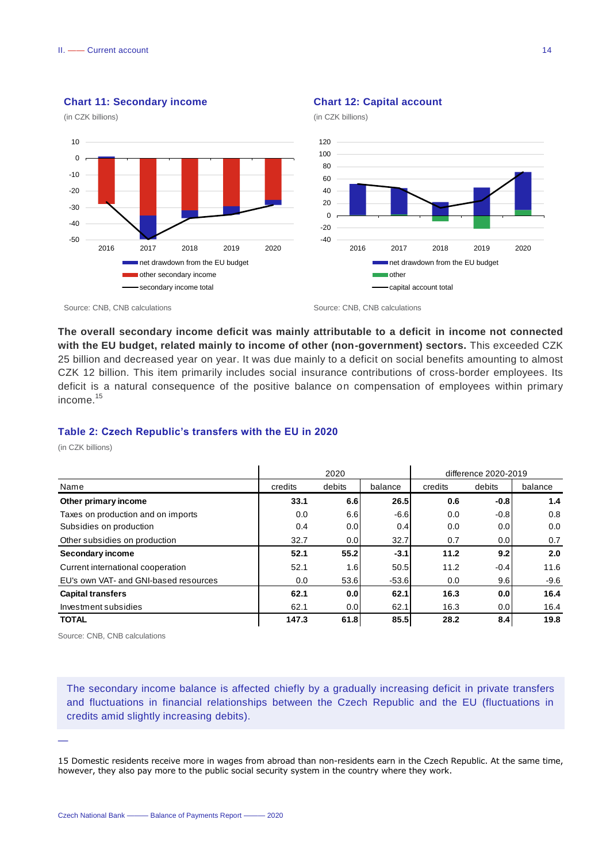

#### **Chart 11: Secondary income**

(in CZK billions)

## **Chart 12: Capital account**





Source: CNB, CNB calculations Source: CNB, CNB calculations Source: CNB, CNB calculations

**The overall secondary income deficit was mainly attributable to a deficit in income not connected with the EU budget, related mainly to income of other (non-government) sectors.** This exceeded CZK 25 billion and decreased year on year. It was due mainly to a deficit on social benefits amounting to almost CZK 12 billion. This item primarily includes social insurance contributions of cross-border employees. Its deficit is a natural consequence of the positive balance on compensation of employees within primary income.<sup>15</sup>

## **Table 2: Czech Republic's transfers with the EU in 2020**

(in CZK billions)

|                                       | 2020    |        | difference 2020-2019 |         |        |         |
|---------------------------------------|---------|--------|----------------------|---------|--------|---------|
| Name                                  | credits | debits | balance              | credits | debits | balance |
| Other primary income                  | 33.1    | 6.6    | 26.5                 | 0.6     | $-0.8$ | 1.4     |
| Taxes on production and on imports    | 0.0     | 6.6    | $-6.6$               | 0.0     | $-0.8$ | 0.8     |
| Subsidies on production               | 0.4     | 0.0    | 0.4                  | 0.0     | 0.0    | 0.0     |
| Other subsidies on production         | 32.7    | 0.0    | 32.7                 | 0.7     | 0.0    | 0.7     |
| Secondary income                      | 52.1    | 55.2   | $-3.1$               | 11.2    | 9.2    | 2.0     |
| Current international cooperation     | 52.1    | 1.6    | 50.5                 | 11.2    | $-0.4$ | 11.6    |
| EU's own VAT- and GNI-based resources | 0.0     | 53.6   | $-53.6$              | 0.0     | 9.6    | $-9.6$  |
| <b>Capital transfers</b>              | 62.1    | 0.0    | 62.1                 | 16.3    | 0.0    | 16.4    |
| Investment subsidies                  | 62.1    | 0.0    | 62.1                 | 16.3    | 0.0    | 16.4    |
| <b>TOTAL</b>                          | 147.3   | 61.8   | 85.5                 | 28.2    | 8.4    | 19.8    |

Source: CNB, CNB calculations

—

The secondary income balance is affected chiefly by a gradually increasing deficit in private transfers and fluctuations in financial relationships between the Czech Republic and the EU (fluctuations in credits amid slightly increasing debits).

15 Domestic residents receive more in wages from abroad than non-residents earn in the Czech Republic. At the same time, however, they also pay more to the public social security system in the country where they work.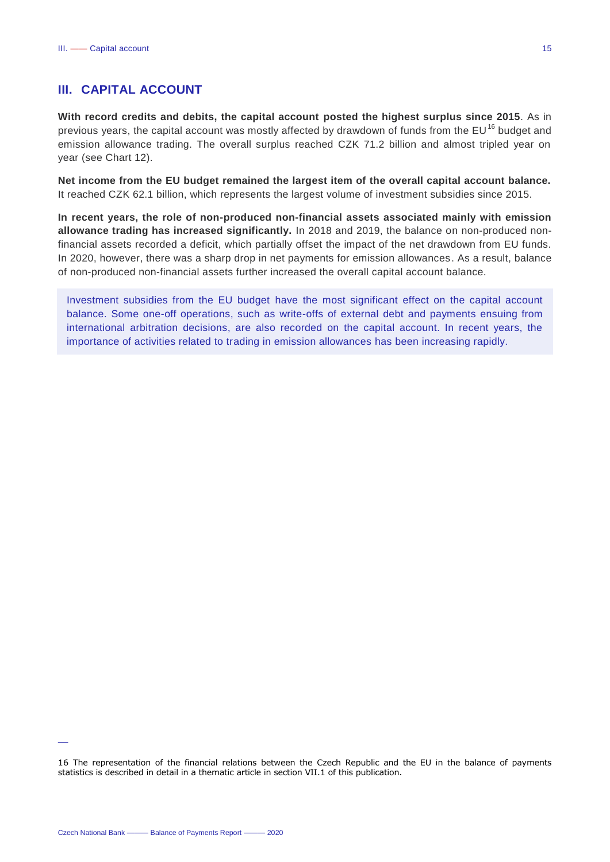## <span id="page-14-0"></span>**III. CAPITAL ACCOUNT**

**With record credits and debits, the capital account posted the highest surplus since 2015**. As in previous years, the capital account was mostly affected by drawdown of funds from the EU<sup>16</sup> budget and emission allowance trading. The overall surplus reached CZK 71.2 billion and almost tripled year on year (see Chart 12).

**Net income from the EU budget remained the largest item of the overall capital account balance.**  It reached CZK 62.1 billion, which represents the largest volume of investment subsidies since 2015.

**In recent years, the role of non-produced non-financial assets associated mainly with emission allowance trading has increased significantly.** In 2018 and 2019, the balance on non-produced nonfinancial assets recorded a deficit, which partially offset the impact of the net drawdown from EU funds. In 2020, however, there was a sharp drop in net payments for emission allowances. As a result, balance of non-produced non-financial assets further increased the overall capital account balance.

Investment subsidies from the EU budget have the most significant effect on the capital account balance. Some one-off operations, such as write-offs of external debt and payments ensuing from international arbitration decisions, are also recorded on the capital account. In recent years, the importance of activities related to trading in emission allowances has been increasing rapidly.

<sup>16</sup> The representation of the financial relations between the Czech Republic and the EU in the balance of payments statistics is described in detail in a thematic article in section VII.1 of this publication.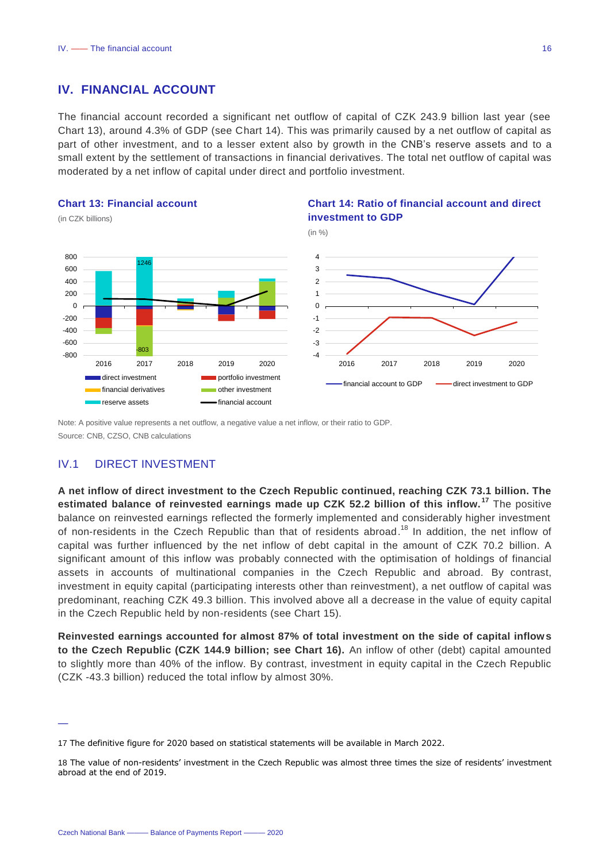## <span id="page-15-0"></span>**IV. FINANCIAL ACCOUNT**

The financial account recorded a significant net outflow of capital of CZK 243.9 billion last year (see Chart 13), around 4.3% of GDP (see Chart 14). This was primarily caused by a net outflow of capital as part of other investment, and to a lesser extent also by growth in the CNB's reserve assets and to a small extent by the settlement of transactions in financial derivatives. The total net outflow of capital was moderated by a net inflow of capital under direct and portfolio investment.

#### **Chart 13: Financial account**

(in CZK billions)

—



#### **Chart 14: Ratio of financial account and direct investment to GDP**



Note: A positive value represents a net outflow, a negative value a net inflow, or their ratio to GDP. Source: CNB, CZSO, CNB calculations

## <span id="page-15-1"></span>IV.1 DIRECT INVESTMENT

**A net inflow of direct investment to the Czech Republic continued, reaching CZK 73.1 billion. The estimated balance of reinvested earnings made up CZK 52.2 billion of this inflow. <sup>17</sup>** The positive balance on reinvested earnings reflected the formerly implemented and considerably higher investment of non-residents in the Czech Republic than that of residents abroad.<sup>18</sup> In addition, the net inflow of capital was further influenced by the net inflow of debt capital in the amount of CZK 70.2 billion. A significant amount of this inflow was probably connected with the optimisation of holdings of financial assets in accounts of multinational companies in the Czech Republic and abroad. By contrast, investment in equity capital (participating interests other than reinvestment), a net outflow of capital was predominant, reaching CZK 49.3 billion. This involved above all a decrease in the value of equity capital in the Czech Republic held by non-residents (see Chart 15).

**Reinvested earnings accounted for almost 87% of total investment on the side of capital inflows to the Czech Republic (CZK 144.9 billion; see Chart 16).** An inflow of other (debt) capital amounted to slightly more than 40% of the inflow. By contrast, investment in equity capital in the Czech Republic (CZK -43.3 billion) reduced the total inflow by almost 30%.

<sup>17</sup> The definitive figure for 2020 based on statistical statements will be available in March 2022.

<sup>18</sup> The value of non-residents' investment in the Czech Republic was almost three times the size of residents' investment abroad at the end of 2019.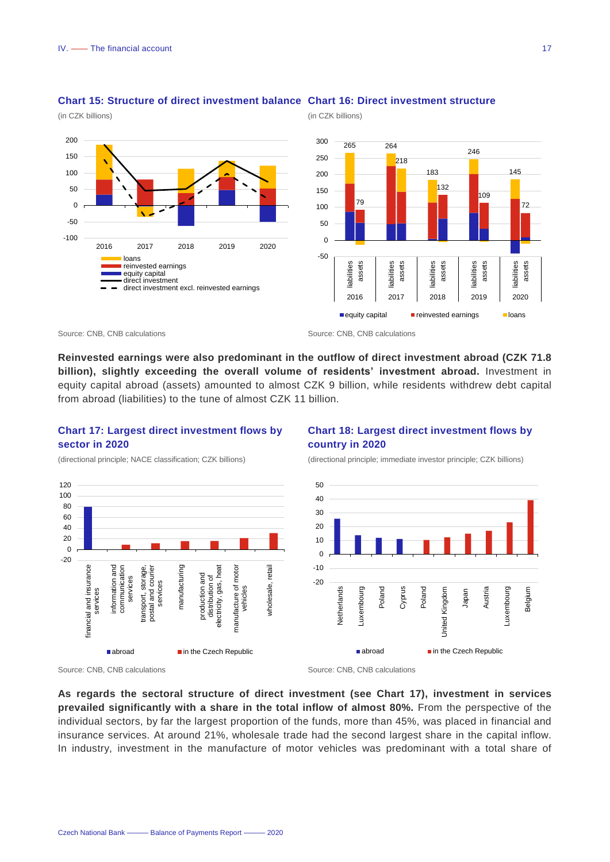(in CZK billions)



(in CZK billions)

#### **Chart 15: Structure of direct investment balance Chart 16: Direct investment structure**

**Reinvested earnings were also predominant in the outflow of direct investment abroad (CZK 71.8 billion), slightly exceeding the overall volume of residents' investment abroad.** Investment in equity capital abroad (assets) amounted to almost CZK 9 billion, while residents withdrew debt capital from abroad (liabilities) to the tune of almost CZK 11 billion.

## **Chart 17: Largest direct investment flows by sector in 2020**

(directional principle; NACE classification; CZK billions)



## **Chart 18: Largest direct investment flows by country in 2020**

(directional principle; immediate investor principle; CZK billions)



Source: CNB, CNB calculations **Source: CNB, CNB calculations** Source: CNB, CNB calculations

**As regards the sectoral structure of direct investment (see Chart 17), investment in services prevailed significantly with a share in the total inflow of almost 80%.** From the perspective of the individual sectors, by far the largest proportion of the funds, more than 45%, was placed in financial and insurance services. At around 21%, wholesale trade had the second largest share in the capital inflow. In industry, investment in the manufacture of motor vehicles was predominant with a total share of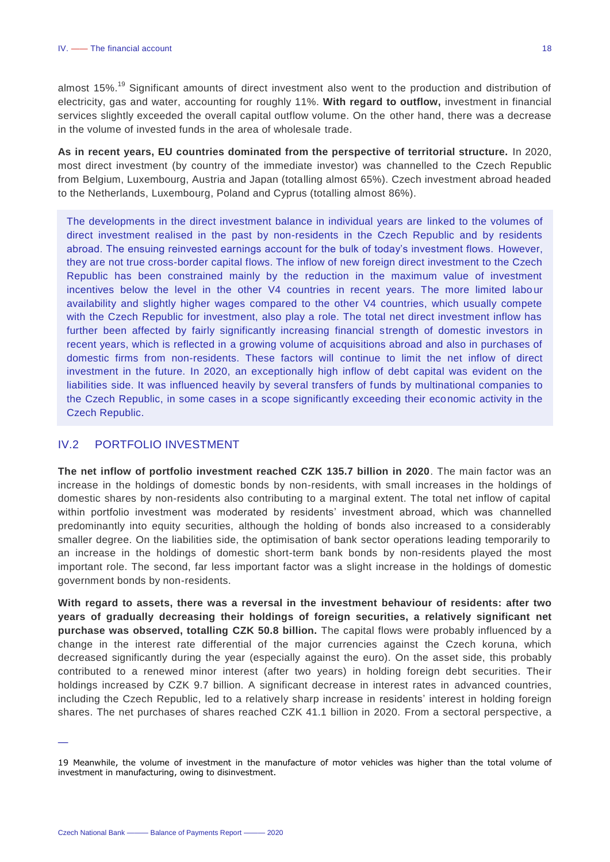almost 15%.<sup>19</sup> Significant amounts of direct investment also went to the production and distribution of electricity, gas and water, accounting for roughly 11%. **With regard to outflow,** investment in financial services slightly exceeded the overall capital outflow volume. On the other hand, there was a decrease in the volume of invested funds in the area of wholesale trade.

**As in recent years, EU countries dominated from the perspective of territorial structure.** In 2020, most direct investment (by country of the immediate investor) was channelled to the Czech Republic from Belgium, Luxembourg, Austria and Japan (totalling almost 65%). Czech investment abroad headed to the Netherlands, Luxembourg, Poland and Cyprus (totalling almost 86%).

The developments in the direct investment balance in individual years are linked to the volumes of direct investment realised in the past by non-residents in the Czech Republic and by residents abroad. The ensuing reinvested earnings account for the bulk of today's investment flows. However, they are not true cross-border capital flows. The inflow of new foreign direct investment to the Czech Republic has been constrained mainly by the reduction in the maximum value of investment incentives below the level in the other V4 countries in recent years. The more limited labour availability and slightly higher wages compared to the other V4 countries, which usually compete with the Czech Republic for investment, also play a role. The total net direct investment inflow has further been affected by fairly significantly increasing financial strength of domestic investors in recent years, which is reflected in a growing volume of acquisitions abroad and also in purchases of domestic firms from non-residents. These factors will continue to limit the net inflow of direct investment in the future. In 2020, an exceptionally high inflow of debt capital was evident on the liabilities side. It was influenced heavily by several transfers of funds by multinational companies to the Czech Republic, in some cases in a scope significantly exceeding their economic activity in the Czech Republic.

## <span id="page-17-0"></span>IV.2 PORTFOLIO INVESTMENT

**The net inflow of portfolio investment reached CZK 135.7 billion in 2020**. The main factor was an increase in the holdings of domestic bonds by non-residents, with small increases in the holdings of domestic shares by non-residents also contributing to a marginal extent. The total net inflow of capital within portfolio investment was moderated by residents' investment abroad, which was channelled predominantly into equity securities, although the holding of bonds also increased to a considerably smaller degree. On the liabilities side, the optimisation of bank sector operations leading temporarily to an increase in the holdings of domestic short-term bank bonds by non-residents played the most important role. The second, far less important factor was a slight increase in the holdings of domestic government bonds by non-residents.

**With regard to assets, there was a reversal in the investment behaviour of residents: after two years of gradually decreasing their holdings of foreign securities, a relatively significant net purchase was observed, totalling CZK 50.8 billion.** The capital flows were probably influenced by a change in the interest rate differential of the major currencies against the Czech koruna, which decreased significantly during the year (especially against the euro). On the asset side, this probably contributed to a renewed minor interest (after two years) in holding foreign debt securities. Their holdings increased by CZK 9.7 billion. A significant decrease in interest rates in advanced countries, including the Czech Republic, led to a relatively sharp increase in residents' interest in holding foreign shares. The net purchases of shares reached CZK 41.1 billion in 2020. From a sectoral perspective, a

<sup>19</sup> Meanwhile, the volume of investment in the manufacture of motor vehicles was higher than the total volume of investment in manufacturing, owing to disinvestment.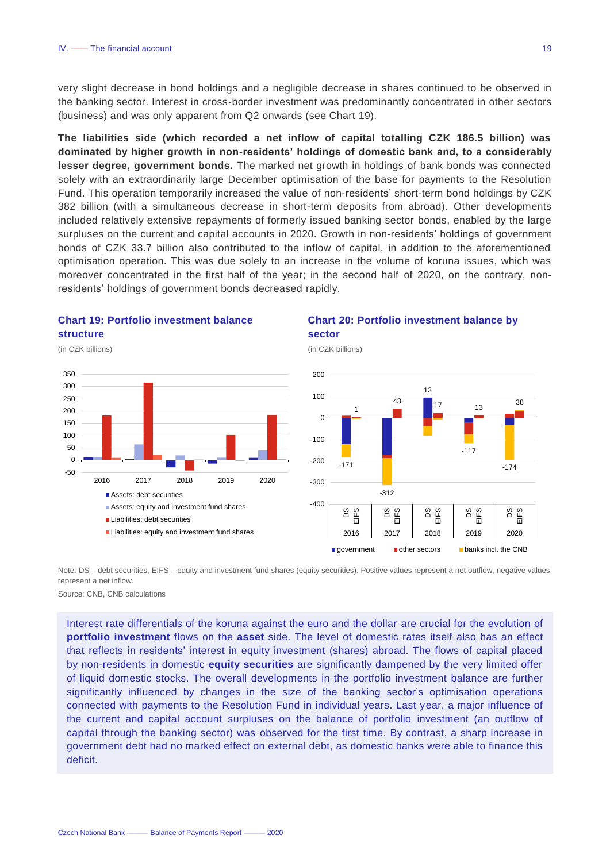very slight decrease in bond holdings and a negligible decrease in shares continued to be observed in the banking sector. Interest in cross-border investment was predominantly concentrated in other sectors (business) and was only apparent from Q2 onwards (see Chart 19).

**The liabilities side (which recorded a net inflow of capital totalling CZK 186.5 billion) was dominated by higher growth in non-residents' holdings of domestic bank and, to a considerably lesser degree, government bonds.** The marked net growth in holdings of bank bonds was connected solely with an extraordinarily large December optimisation of the base for payments to the Resolution Fund. This operation temporarily increased the value of non-residents' short-term bond holdings by CZK 382 billion (with a simultaneous decrease in short-term deposits from abroad). Other developments included relatively extensive repayments of formerly issued banking sector bonds, enabled by the large surpluses on the current and capital accounts in 2020. Growth in non-residents' holdings of government bonds of CZK 33.7 billion also contributed to the inflow of capital, in addition to the aforementioned optimisation operation. This was due solely to an increase in the volume of koruna issues, which was moreover concentrated in the first half of the year; in the second half of 2020, on the contrary, nonresidents' holdings of government bonds decreased rapidly.

## **Chart 19: Portfolio investment balance structure**



## **Chart 20: Portfolio investment balance by sector**



Note: DS – debt securities, EIFS – equity and investment fund shares (equity securities). Positive values represent a net outflow, negative values represent a net inflow.

Source: CNB, CNB calculations

Interest rate differentials of the koruna against the euro and the dollar are crucial for the evolution of **portfolio investment** flows on the **asset** side. The level of domestic rates itself also has an effect that reflects in residents' interest in equity investment (shares) abroad. The flows of capital placed by non-residents in domestic **equity securities** are significantly dampened by the very limited offer of liquid domestic stocks. The overall developments in the portfolio investment balance are further significantly influenced by changes in the size of the banking sector's optimisation operations connected with payments to the Resolution Fund in individual years. Last year, a major influence of the current and capital account surpluses on the balance of portfolio investment (an outflow of capital through the banking sector) was observed for the first time. By contrast, a sharp increase in government debt had no marked effect on external debt, as domestic banks were able to finance this deficit.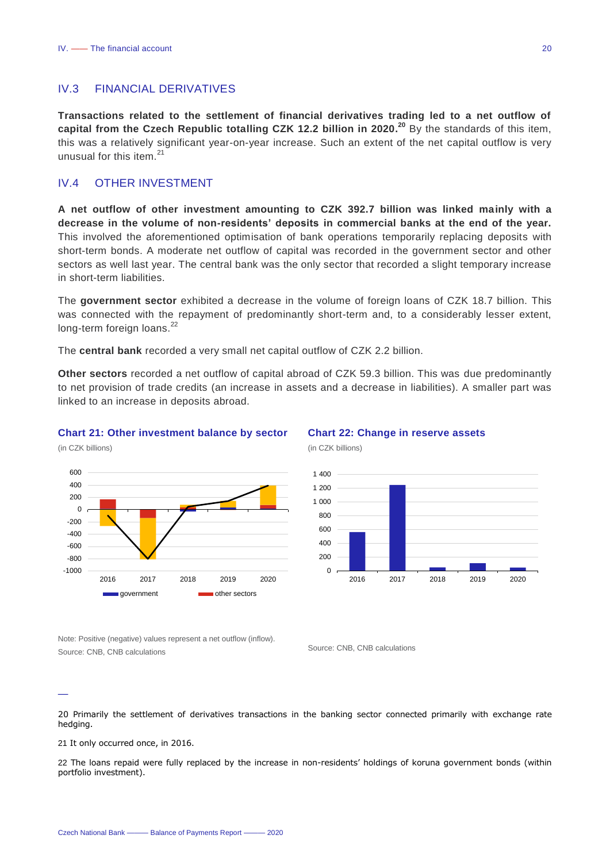## <span id="page-19-0"></span>IV.3 FINANCIAL DERIVATIVES

**Transactions related to the settlement of financial derivatives trading led to a net outflow of capital from the Czech Republic totalling CZK 12.2 billion in 2020. <sup>20</sup>** By the standards of this item, this was a relatively significant year-on-year increase. Such an extent of the net capital outflow is very unusual for this item.<sup>21</sup>

## <span id="page-19-1"></span>IV.4 OTHER INVESTMENT

**A net outflow of other investment amounting to CZK 392.7 billion was linked mainly with a decrease in the volume of non-residents' deposits in commercial banks at the end of the year.** This involved the aforementioned optimisation of bank operations temporarily replacing deposits with short-term bonds. A moderate net outflow of capital was recorded in the government sector and other sectors as well last year. The central bank was the only sector that recorded a slight temporary increase in short-term liabilities.

The **government sector** exhibited a decrease in the volume of foreign loans of CZK 18.7 billion. This was connected with the repayment of predominantly short-term and, to a considerably lesser extent, long-term foreign loans.<sup>22</sup>

The **central bank** recorded a very small net capital outflow of CZK 2.2 billion.

**Other sectors** recorded a net outflow of capital abroad of CZK 59.3 billion. This was due predominantly to net provision of trade credits (an increase in assets and a decrease in liabilities). A smaller part was linked to an increase in deposits abroad.

(in CZK billions)

#### **Chart 21: Other investment balance by sector**



**Chart 22: Change in reserve assets** 



(in CZK billions)

Note: Positive (negative) values represent a net outflow (inflow). Source: CNB, CNB calculations Source: CNB, CNB calculations

—

20 Primarily the settlement of derivatives transactions in the banking sector connected primarily with exchange rate hedging.

21 It only occurred once, in 2016.

22 The loans repaid were fully replaced by the increase in non-residents' holdings of koruna government bonds (within portfolio investment).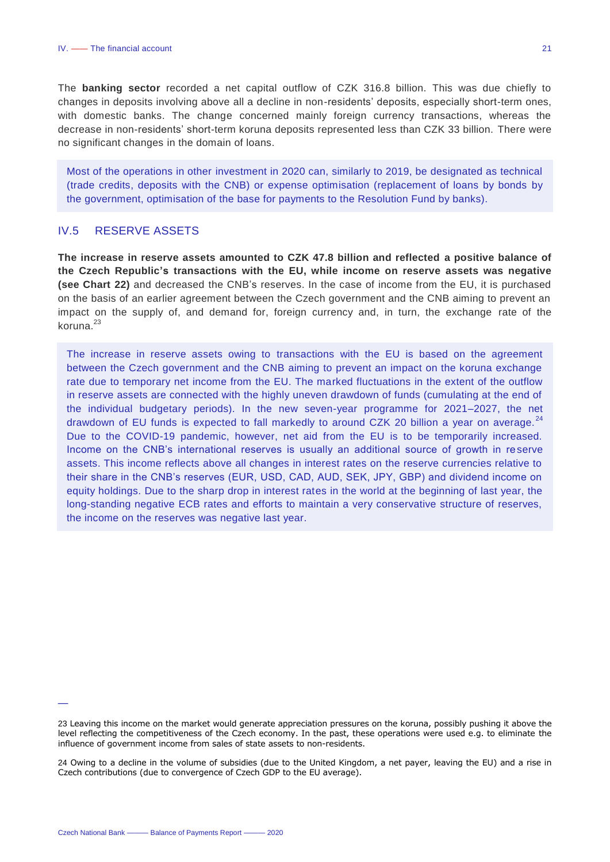The **banking sector** recorded a net capital outflow of CZK 316.8 billion. This was due chiefly to changes in deposits involving above all a decline in non-residents' deposits, especially short-term ones, with domestic banks. The change concerned mainly foreign currency transactions, whereas the decrease in non-residents' short-term koruna deposits represented less than CZK 33 billion. There were no significant changes in the domain of loans.

Most of the operations in other investment in 2020 can, similarly to 2019, be designated as technical (trade credits, deposits with the CNB) or expense optimisation (replacement of loans by bonds by the government, optimisation of the base for payments to the Resolution Fund by banks).

## <span id="page-20-0"></span>IV.5 RESERVE ASSETS

**The increase in reserve assets amounted to CZK 47.8 billion and reflected a positive balance of the Czech Republic's transactions with the EU, while income on reserve assets was negative (see Chart 22)** and decreased the CNB's reserves. In the case of income from the EU, it is purchased on the basis of an earlier agreement between the Czech government and the CNB aiming to prevent an impact on the supply of, and demand for, foreign currency and, in turn, the exchange rate of the koruna. $23$ 

The increase in reserve assets owing to transactions with the EU is based on the agreement between the Czech government and the CNB aiming to prevent an impact on the koruna exchange rate due to temporary net income from the EU. The marked fluctuations in the extent of the outflow in reserve assets are connected with the highly uneven drawdown of funds (cumulating at the end of the individual budgetary periods). In the new seven-year programme for 2021–2027, the net drawdown of EU funds is expected to fall markedly to around CZK 20 billion a year on average.  $^{24}$ Due to the COVID-19 pandemic, however, net aid from the EU is to be temporarily increased. Income on the CNB's international reserves is usually an additional source of growth in reserve assets. This income reflects above all changes in interest rates on the reserve currencies relative to their share in the CNB's reserves (EUR, USD, CAD, AUD, SEK, JPY, GBP) and dividend income on equity holdings. Due to the sharp drop in interest rates in the world at the beginning of last year, the long-standing negative ECB rates and efforts to maintain a very conservative structure of reserves, the income on the reserves was negative last year.

<sup>23</sup> Leaving this income on the market would generate appreciation pressures on the koruna, possibly pushing it above the level reflecting the competitiveness of the Czech economy. In the past, these operations were used e.g. to eliminate the influence of government income from sales of state assets to non-residents.

<sup>24</sup> Owing to a decline in the volume of subsidies (due to the United Kingdom, a net payer, leaving the EU) and a rise in Czech contributions (due to convergence of Czech GDP to the EU average).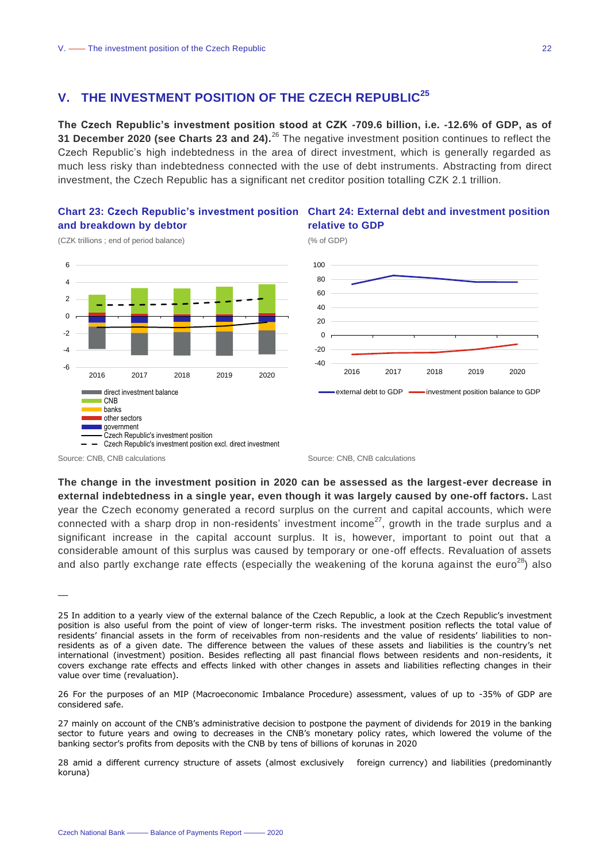## <span id="page-21-0"></span>**V. THE INVESTMENT POSITION OF THE CZECH REPUBLIC<sup>25</sup>**

**The Czech Republic's investment position stood at CZK -709.6 billion, i.e. -12.6% of GDP, as of 31 December 2020 (see Charts 23 and 24).**<sup>26</sup> The negative investment position continues to reflect the Czech Republic's high indebtedness in the area of direct investment, which is generally regarded as much less risky than indebtedness connected with the use of debt instruments. Abstracting from direct investment, the Czech Republic has a significant net creditor position totalling CZK 2.1 trillion.

## **and breakdown by debtor**



### **Chart 23: Czech Republic's investment position Chart 24: External debt and investment position relative to GDP**

(% of GDP)



(CZK trillions ; end of period balance)

**The change in the investment position in 2020 can be assessed as the largest-ever decrease in external indebtedness in a single year, even though it was largely caused by one-off factors.** Last year the Czech economy generated a record surplus on the current and capital accounts, which were connected with a sharp drop in non-residents' investment income<sup>27</sup>, growth in the trade surplus and a significant increase in the capital account surplus. It is, however, important to point out that a considerable amount of this surplus was caused by temporary or one-off effects. Revaluation of assets and also partly exchange rate effects (especially the weakening of the koruna against the euro<sup>28</sup>) also

—

26 For the purposes of an MIP (Macroeconomic Imbalance Procedure) assessment, values of up to -35% of GDP are considered safe.

27 mainly on account of the CNB's administrative decision to postpone the payment of dividends for 2019 in the banking sector to future years and owing to decreases in the CNB's monetary policy rates, which lowered the volume of the banking sector's profits from deposits with the CNB by tens of billions of korunas in 2020

28 amid a different currency structure of assets (almost exclusively foreign currency) and liabilities (predominantly koruna)

Source: CNB, CNB calculations **Source: CNB, CNB** calculations **Source: CNB**, CNB calculations

<sup>25</sup> In addition to a yearly view of the external balance of the Czech Republic, a look at the Czech Republic's investment position is also useful from the point of view of longer-term risks. The investment position reflects the total value of residents' financial assets in the form of receivables from non-residents and the value of residents' liabilities to nonresidents as of a given date. The difference between the values of these assets and liabilities is the country's net international (investment) position. Besides reflecting all past financial flows between residents and non-residents, it covers exchange rate effects and effects linked with other changes in assets and liabilities reflecting changes in their value over time (revaluation).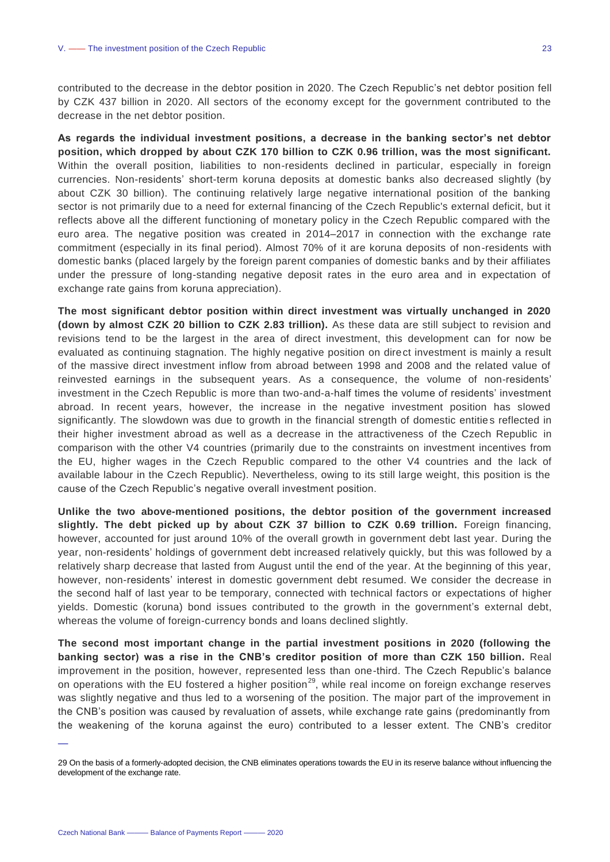contributed to the decrease in the debtor position in 2020. The Czech Republic's net debtor position fell by CZK 437 billion in 2020. All sectors of the economy except for the government contributed to the decrease in the net debtor position.

**As regards the individual investment positions, a decrease in the banking sector's net debtor position, which dropped by about CZK 170 billion to CZK 0.96 trillion, was the most significant.**  Within the overall position, liabilities to non-residents declined in particular, especially in foreign currencies. Non-residents' short-term koruna deposits at domestic banks also decreased slightly (by about CZK 30 billion). The continuing relatively large negative international position of the banking sector is not primarily due to a need for external financing of the Czech Republic's external deficit, but it reflects above all the different functioning of monetary policy in the Czech Republic compared with the euro area. The negative position was created in 2014–2017 in connection with the exchange rate commitment (especially in its final period). Almost 70% of it are koruna deposits of non-residents with domestic banks (placed largely by the foreign parent companies of domestic banks and by their affiliates under the pressure of long-standing negative deposit rates in the euro area and in expectation of exchange rate gains from koruna appreciation).

**The most significant debtor position within direct investment was virtually unchanged in 2020 (down by almost CZK 20 billion to CZK 2.83 trillion).** As these data are still subject to revision and revisions tend to be the largest in the area of direct investment, this development can for now be evaluated as continuing stagnation. The highly negative position on direct investment is mainly a result of the massive direct investment inflow from abroad between 1998 and 2008 and the related value of reinvested earnings in the subsequent years. As a consequence, the volume of non-residents' investment in the Czech Republic is more than two-and-a-half times the volume of residents' investment abroad. In recent years, however, the increase in the negative investment position has slowed significantly. The slowdown was due to growth in the financial strength of domestic entities reflected in their higher investment abroad as well as a decrease in the attractiveness of the Czech Republic in comparison with the other V4 countries (primarily due to the constraints on investment incentives from the EU, higher wages in the Czech Republic compared to the other V4 countries and the lack of available labour in the Czech Republic). Nevertheless, owing to its still large weight, this position is the cause of the Czech Republic's negative overall investment position.

**Unlike the two above-mentioned positions, the debtor position of the government increased slightly. The debt picked up by about CZK 37 billion to CZK 0.69 trillion.** Foreign financing, however, accounted for just around 10% of the overall growth in government debt last year. During the year, non-residents' holdings of government debt increased relatively quickly, but this was followed by a relatively sharp decrease that lasted from August until the end of the year. At the beginning of this year, however, non-residents' interest in domestic government debt resumed. We consider the decrease in the second half of last year to be temporary, connected with technical factors or expectations of higher yields. Domestic (koruna) bond issues contributed to the growth in the government's external debt, whereas the volume of foreign-currency bonds and loans declined slightly.

**The second most important change in the partial investment positions in 2020 (following the banking sector) was a rise in the CNB's creditor position of more than CZK 150 billion.** Real improvement in the position, however, represented less than one-third. The Czech Republic's balance on operations with the EU fostered a higher position<sup>29</sup>, while real income on foreign exchange reserves was slightly negative and thus led to a worsening of the position. The major part of the improvement in the CNB's position was caused by revaluation of assets, while exchange rate gains (predominantly from the weakening of the koruna against the euro) contributed to a lesser extent. The CNB's creditor

<sup>29</sup> On the basis of a formerly-adopted decision, the CNB eliminates operations towards the EU in its reserve balance without influencing the development of the exchange rate.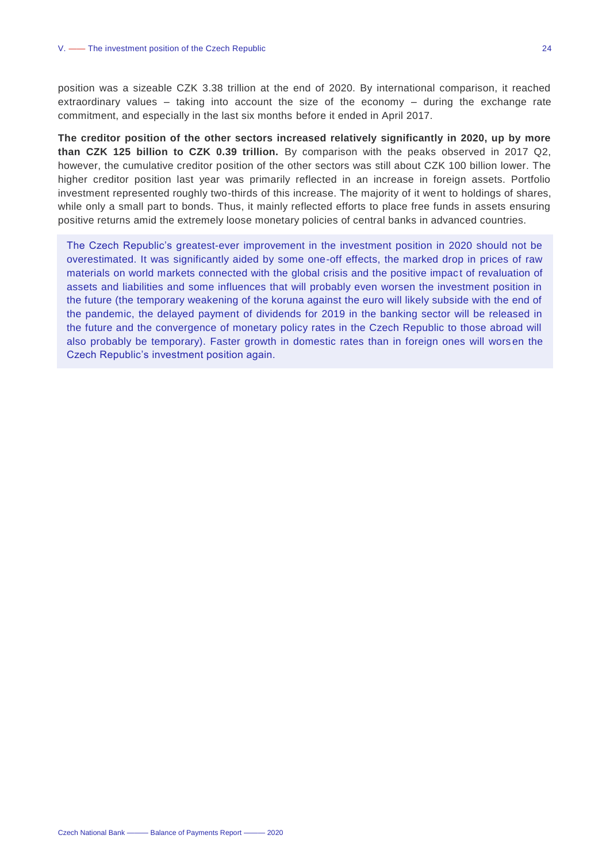position was a sizeable CZK 3.38 trillion at the end of 2020. By international comparison, it reached extraordinary values – taking into account the size of the economy – during the exchange rate commitment, and especially in the last six months before it ended in April 2017.

**The creditor position of the other sectors increased relatively significantly in 2020, up by more than CZK 125 billion to CZK 0.39 trillion.** By comparison with the peaks observed in 2017 Q2, however, the cumulative creditor position of the other sectors was still about CZK 100 billion lower. The higher creditor position last year was primarily reflected in an increase in foreign assets. Portfolio investment represented roughly two-thirds of this increase. The majority of it went to holdings of shares, while only a small part to bonds. Thus, it mainly reflected efforts to place free funds in assets ensuring positive returns amid the extremely loose monetary policies of central banks in advanced countries.

The Czech Republic's greatest-ever improvement in the investment position in 2020 should not be overestimated. It was significantly aided by some one-off effects, the marked drop in prices of raw materials on world markets connected with the global crisis and the positive impact of revaluation of assets and liabilities and some influences that will probably even worsen the investment position in the future (the temporary weakening of the koruna against the euro will likely subside with the end of the pandemic, the delayed payment of dividends for 2019 in the banking sector will be released in the future and the convergence of monetary policy rates in the Czech Republic to those abroad will also probably be temporary). Faster growth in domestic rates than in foreign ones will wors en the Czech Republic's investment position again.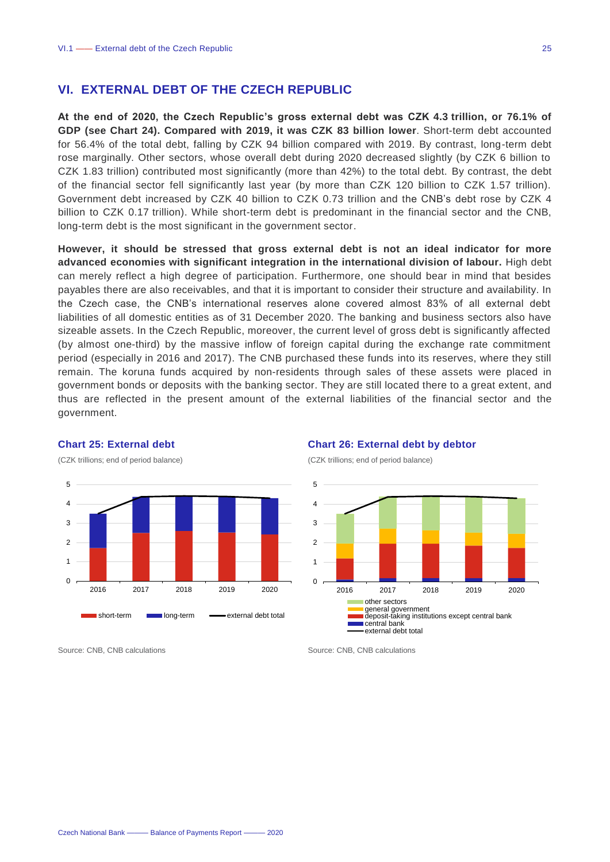## <span id="page-24-0"></span>**VI. EXTERNAL DEBT OF THE CZECH REPUBLIC**

**At the end of 2020, the Czech Republic's gross external debt was CZK 4.3 trillion, or 76.1% of GDP (see Chart 24). Compared with 2019, it was CZK 83 billion lower**. Short-term debt accounted for 56.4% of the total debt, falling by CZK 94 billion compared with 2019. By contrast, long-term debt rose marginally. Other sectors, whose overall debt during 2020 decreased slightly (by CZK 6 billion to CZK 1.83 trillion) contributed most significantly (more than 42%) to the total debt. By contrast, the debt of the financial sector fell significantly last year (by more than CZK 120 billion to CZK 1.57 trillion). Government debt increased by CZK 40 billion to CZK 0.73 trillion and the CNB's debt rose by CZK 4 billion to CZK 0.17 trillion). While short-term debt is predominant in the financial sector and the CNB, long-term debt is the most significant in the government sector.

**However, it should be stressed that gross external debt is not an ideal indicator for more advanced economies with significant integration in the international division of labour.** High debt can merely reflect a high degree of participation. Furthermore, one should bear in mind that besides payables there are also receivables, and that it is important to consider their structure and availability. In the Czech case, the CNB's international reserves alone covered almost 83% of all external debt liabilities of all domestic entities as of 31 December 2020. The banking and business sectors also have sizeable assets. In the Czech Republic, moreover, the current level of gross debt is significantly affected (by almost one-third) by the massive inflow of foreign capital during the exchange rate commitment period (especially in 2016 and 2017). The CNB purchased these funds into its reserves, where they still remain. The koruna funds acquired by non-residents through sales of these assets were placed in government bonds or deposits with the banking sector. They are still located there to a great extent, and thus are reflected in the present amount of the external liabilities of the financial sector and the government.



### **Chart 25: External debt** (CZK trillions; end of period balance)





Source: CNB, CNB calculations and Source: CNB, CNB calculations Source: CNB, CNB calculations

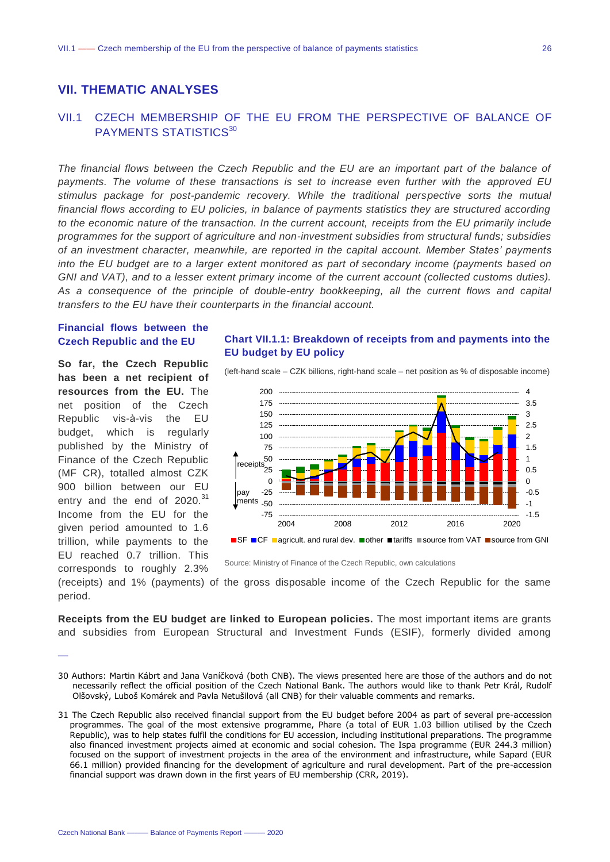## <span id="page-25-0"></span>**VII. THEMATIC ANALYSES**

## <span id="page-25-1"></span>VII.1 CZECH MEMBERSHIP OF THE EU FROM THE PERSPECTIVE OF BALANCE OF PAYMENTS STATISTICS<sup>30</sup>

*The financial flows between the Czech Republic and the EU are an important part of the balance of payments. The volume of these transactions is set to increase even further with the approved EU stimulus package for post-pandemic recovery. While the traditional perspective sorts the mutual financial flows according to EU policies, in balance of payments statistics they are structured according to the economic nature of the transaction. In the current account, receipts from the EU primarily include programmes for the support of agriculture and non-investment subsidies from structural funds; subsidies of an investment character, meanwhile, are reported in the capital account. Member States' payments into the EU budget are to a larger extent monitored as part of secondary income (payments based on GNI and VAT), and to a lesser extent primary income of the current account (collected customs duties). As a consequence of the principle of double-entry bookkeeping, all the current flows and capital transfers to the EU have their counterparts in the financial account.* 

### **Financial flows between the Czech Republic and the EU**

**So far, the Czech Republic has been a net recipient of resources from the EU.** The net position of the Czech Republic vis-à-vis the EU budget, which is regularly published by the Ministry of Finance of the Czech Republic (MF CR), totalled almost CZK 900 billion between our EU entry and the end of 2020.<sup>31</sup> Income from the EU for the given period amounted to 1.6 trillion, while payments to the EU reached 0.7 trillion. This corresponds to roughly 2.3%

—

**Chart VII.1.1: Breakdown of receipts from and payments into the EU budget by EU policy**





Source: Ministry of Finance of the Czech Republic, own calculations

(receipts) and 1% (payments) of the gross disposable income of the Czech Republic for the same period.

**Receipts from the EU budget are linked to European policies.** The most important items are grants and subsidies from European Structural and Investment Funds (ESIF), formerly divided among

<sup>30</sup> Authors: Martin Kábrt and Jana Vaníčková (both CNB). The views presented here are those of the authors and do not necessarily reflect the official position of the Czech National Bank. The authors would like to thank Petr Král, Rudolf Olšovský, Luboš Komárek and Pavla Netušilová (all CNB) for their valuable comments and remarks.

<sup>31</sup> The Czech Republic also received financial support from the EU budget before 2004 as part of several pre-accession programmes. The goal of the most extensive programme, Phare (a total of EUR 1.03 billion utilised by the Czech Republic), was to help states fulfil the conditions for EU accession, including institutional preparations. The programme also financed investment projects aimed at economic and social cohesion. The Ispa programme (EUR 244.3 million) focused on the support of investment projects in the area of the environment and infrastructure, while Sapard (EUR 66.1 million) provided financing for the development of agriculture and rural development. Part of the pre-accession financial support was drawn down in the first years of EU membership (CRR, 2019).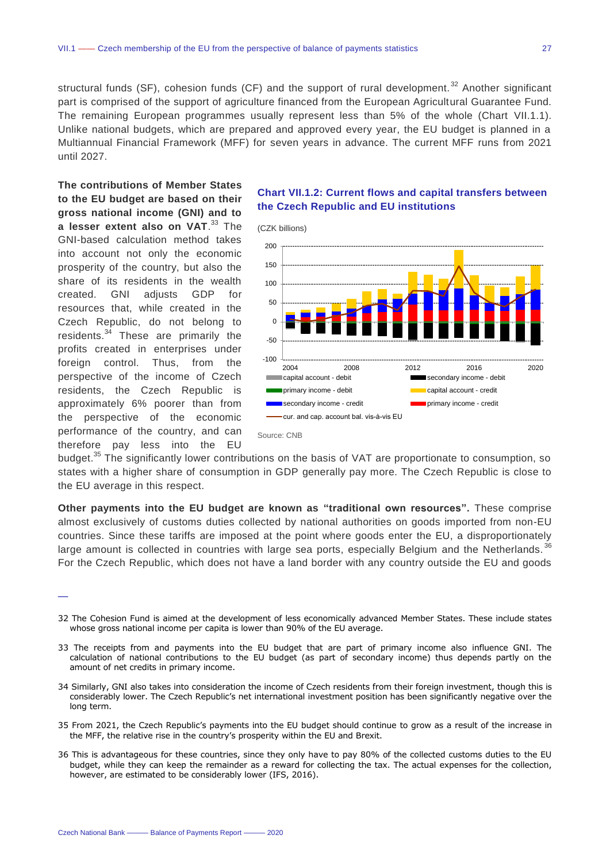structural funds (SF), cohesion funds (CF) and the support of rural development.<sup>32</sup> Another significant part is comprised of the support of agriculture financed from the European Agricultural Guarantee Fund. The remaining European programmes usually represent less than 5% of the whole (Chart VII.1.1). Unlike national budgets, which are prepared and approved every year, the EU budget is planned in a Multiannual Financial Framework (MFF) for seven years in advance. The current MFF runs from 2021 until 2027.

**The contributions of Member States to the EU budget are based on their gross national income (GNI) and to a lesser extent also on VAT**. <sup>33</sup> The GNI-based calculation method takes into account not only the economic prosperity of the country, but also the share of its residents in the wealth created. GNI adjusts GDP for resources that, while created in the Czech Republic, do not belong to residents.<sup>34</sup> These are primarily the profits created in enterprises under foreign control. Thus, from the perspective of the income of Czech residents, the Czech Republic is approximately 6% poorer than from the perspective of the economic performance of the country, and can therefore pay less into the EU

## **Chart VII.1.2: Current flows and capital transfers between the Czech Republic and EU institutions**

(CZK billions)



budget.<sup>35</sup> The significantly lower contributions on the basis of VAT are proportionate to consumption, so states with a higher share of consumption in GDP generally pay more. The Czech Republic is close to the EU average in this respect.

**Other payments into the EU budget are known as "traditional own resources".** These comprise almost exclusively of customs duties collected by national authorities on goods imported from non-EU countries. Since these tariffs are imposed at the point where goods enter the EU, a disproportionately large amount is collected in countries with large sea ports, especially Belgium and the Netherlands.<sup>36</sup> For the Czech Republic, which does not have a land border with any country outside the EU and goods

- 32 The Cohesion Fund is aimed at the development of less economically advanced Member States. These include states whose gross national income per capita is lower than 90% of the EU average.
- 33 The receipts from and payments into the EU budget that are part of primary income also influence GNI. The calculation of national contributions to the EU budget (as part of secondary income) thus depends partly on the amount of net credits in primary income.
- 34 Similarly, GNI also takes into consideration the income of Czech residents from their foreign investment, though this is considerably lower. The Czech Republic's net international investment position has been significantly negative over the long term.
- 35 From 2021, the Czech Republic's payments into the EU budget should continue to grow as a result of the increase in the MFF, the relative rise in the country's prosperity within the EU and Brexit.
- 36 This is advantageous for these countries, since they only have to pay 80% of the collected customs duties to the EU budget, while they can keep the remainder as a reward for collecting the tax. The actual expenses for the collection, however, are estimated to be considerably lower (IFS, 2016).

<sup>—</sup>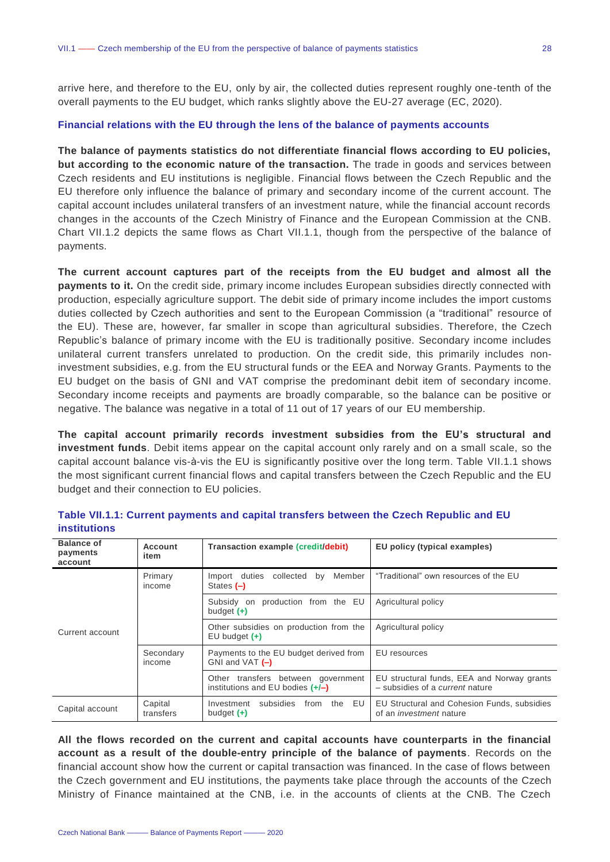arrive here, and therefore to the EU, only by air, the collected duties represent roughly one-tenth of the overall payments to the EU budget, which ranks slightly above the EU-27 average (EC, 2020).

#### **Financial relations with the EU through the lens of the balance of payments accounts**

**The balance of payments statistics do not differentiate financial flows according to EU policies, but according to the economic nature of the transaction.** The trade in goods and services between Czech residents and EU institutions is negligible. Financial flows between the Czech Republic and the EU therefore only influence the balance of primary and secondary income of the current account. The capital account includes unilateral transfers of an investment nature, while the financial account records changes in the accounts of the Czech Ministry of Finance and the European Commission at the CNB. Chart VII.1.2 depicts the same flows as Chart VII.1.1, though from the perspective of the balance of payments.

**The current account captures part of the receipts from the EU budget and almost all the payments to it.** On the credit side, primary income includes European subsidies directly connected with production, especially agriculture support. The debit side of primary income includes the import customs duties collected by Czech authorities and sent to the European Commission (a "traditional" resource of the EU). These are, however, far smaller in scope than agricultural subsidies. Therefore, the Czech Republic's balance of primary income with the EU is traditionally positive. Secondary income includes unilateral current transfers unrelated to production. On the credit side, this primarily includes noninvestment subsidies, e.g. from the EU structural funds or the EEA and Norway Grants. Payments to the EU budget on the basis of GNI and VAT comprise the predominant debit item of secondary income. Secondary income receipts and payments are broadly comparable, so the balance can be positive or negative. The balance was negative in a total of 11 out of 17 years of our EU membership.

**The capital account primarily records investment subsidies from the EU's structural and investment funds**. Debit items appear on the capital account only rarely and on a small scale, so the capital account balance vis-à-vis the EU is significantly positive over the long term. Table VII.1.1 shows the most significant current financial flows and capital transfers between the Czech Republic and the EU budget and their connection to EU policies.

| <b>Balance of</b><br>payments<br>account | Account<br>item      | Transaction example (credit/debit)                                       | EU policy (typical examples)                                                         |
|------------------------------------------|----------------------|--------------------------------------------------------------------------|--------------------------------------------------------------------------------------|
|                                          | Primary<br>income    | Member<br>Import duties<br>collected<br>by<br>States (-)                 | "Traditional" own resources of the EU                                                |
|                                          |                      | production from the EU<br>Subsidy on<br>budget $(+)$                     | Agricultural policy                                                                  |
| Current account                          |                      | Other subsidies on production from the<br>$EU$ budget $(+)$              | Agricultural policy                                                                  |
|                                          | Secondary<br>income  | Payments to the EU budget derived from<br>GNI and VAT $(-)$              | EU resources                                                                         |
|                                          |                      | Other transfers between government<br>institutions and EU bodies $(+/-)$ | EU structural funds, EEA and Norway grants<br>- subsidies of a <i>current</i> nature |
| Capital account                          | Capital<br>transfers | the EU<br>subsidies<br>from<br>Investment<br>budget $(+)$                | EU Structural and Cohesion Funds, subsidies<br>of an <i>investment</i> nature        |

**Table VII.1.1: Current payments and capital transfers between the Czech Republic and EU institutions** 

**All the flows recorded on the current and capital accounts have counterparts in the financial account as a result of the double-entry principle of the balance of payments**. Records on the financial account show how the current or capital transaction was financed. In the case of flows between the Czech government and EU institutions, the payments take place through the accounts of the Czech Ministry of Finance maintained at the CNB, i.e. in the accounts of clients at the CNB. The Czech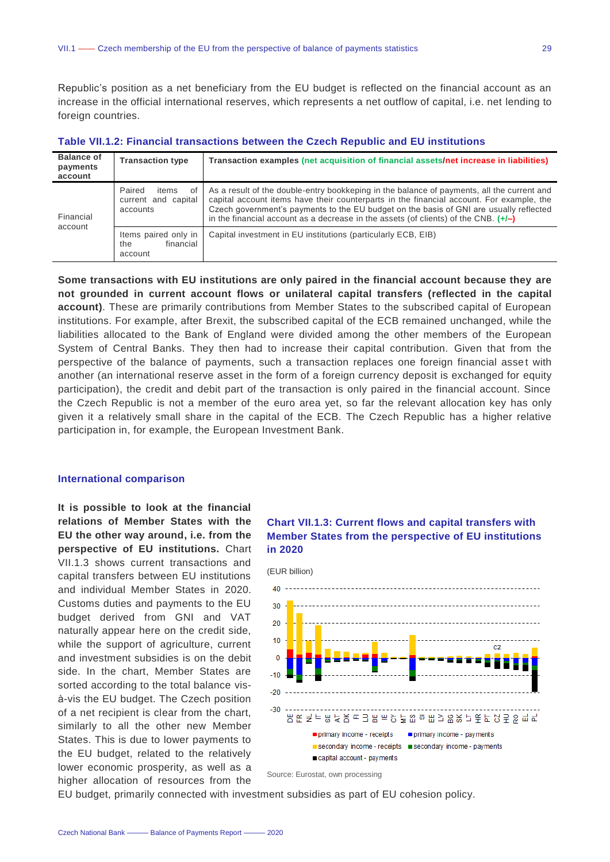Republic's position as a net beneficiary from the EU budget is reflected on the financial account as an increase in the official international reserves, which represents a net outflow of capital, i.e. net lending to foreign countries.

| <b>Balance of</b><br>payments<br>account | <b>Transaction type</b>                                  | Transaction examples (net acquisition of financial assets/net increase in liabilities)                                                                                                                                                                                                                                                                                    |
|------------------------------------------|----------------------------------------------------------|---------------------------------------------------------------------------------------------------------------------------------------------------------------------------------------------------------------------------------------------------------------------------------------------------------------------------------------------------------------------------|
| Financial                                | Paired<br>items<br>οf<br>current and capital<br>accounts | As a result of the double-entry bookkeping in the balance of payments, all the current and<br>capital account items have their counterparts in the financial account. For example, the<br>Czech government's payments to the EU budget on the basis of GNI are usually reflected<br>in the financial account as a decrease in the assets (of clients) of the CNB. $(+/-)$ |
| account                                  | Items paired only in<br>financial<br>the<br>account      | Capital investment in EU institutions (particularly ECB, EIB)                                                                                                                                                                                                                                                                                                             |

**Table VII.1.2: Financial transactions between the Czech Republic and EU institutions** 

**Some transactions with EU institutions are only paired in the financial account because they are not grounded in current account flows or unilateral capital transfers (reflected in the capital account)**. These are primarily contributions from Member States to the subscribed capital of European institutions. For example, after Brexit, the subscribed capital of the ECB remained unchanged, while the liabilities allocated to the Bank of England were divided among the other members of the European System of Central Banks. They then had to increase their capital contribution. Given that from the perspective of the balance of payments, such a transaction replaces one foreign financial asset with another (an international reserve asset in the form of a foreign currency deposit is exchanged for equity participation), the credit and debit part of the transaction is only paired in the financial account. Since the Czech Republic is not a member of the euro area yet, so far the relevant allocation key has only given it a relatively small share in the capital of the ECB. The Czech Republic has a higher relative participation in, for example, the European Investment Bank.

#### **International comparison**

**It is possible to look at the financial relations of Member States with the EU the other way around, i.e. from the perspective of EU institutions.** Chart VII.1.3 shows current transactions and capital transfers between EU institutions and individual Member States in 2020. Customs duties and payments to the EU budget derived from GNI and VAT naturally appear here on the credit side, while the support of agriculture, current and investment subsidies is on the debit side. In the chart, Member States are sorted according to the total balance visà-vis the EU budget. The Czech position of a net recipient is clear from the chart, similarly to all the other new Member States. This is due to lower payments to the EU budget, related to the relatively lower economic prosperity, as well as a higher allocation of resources from the





Source: Eurostat, own processing

EU budget, primarily connected with investment subsidies as part of EU cohesion policy.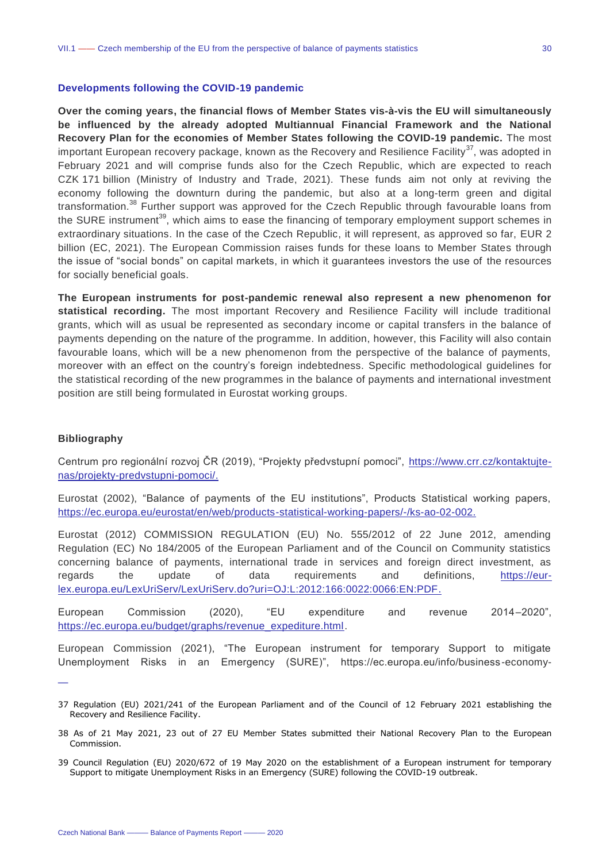#### **Developments following the COVID-19 pandemic**

**Over the coming years, the financial flows of Member States vis-à-vis the EU will simultaneously be influenced by the already adopted Multiannual Financial Framework and the National Recovery Plan for the economies of Member States following the COVID-19 pandemic.** The most important European recovery package, known as the Recovery and Resilience Facility<sup>37</sup>, was adopted in February 2021 and will comprise funds also for the Czech Republic, which are expected to reach CZK 171 billion (Ministry of Industry and Trade, 2021). These funds aim not only at reviving the economy following the downturn during the pandemic, but also at a long-term green and digital transformation.<sup>38</sup> Further support was approved for the Czech Republic through favourable loans from the SURE instrument<sup>39</sup>, which aims to ease the financing of temporary employment support schemes in extraordinary situations. In the case of the Czech Republic, it will represent, as approved so far, EUR 2 billion (EC, 2021). The European Commission raises funds for these loans to Member States through the issue of "social bonds" on capital markets, in which it guarantees investors the use of the resources for socially beneficial goals.

**The European instruments for post-pandemic renewal also represent a new phenomenon for statistical recording.** The most important Recovery and Resilience Facility will include traditional grants, which will as usual be represented as secondary income or capital transfers in the balance of payments depending on the nature of the programme. In addition, however, this Facility will also contain favourable loans, which will be a new phenomenon from the perspective of the balance of payments, moreover with an effect on the country's foreign indebtedness. Specific methodological guidelines for the statistical recording of the new programmes in the balance of payments and international investment position are still being formulated in Eurostat working groups.

#### **Bibliography**

—

Centrum pro regionální rozvoj ČR (2019), "Projekty předvstupní pomoci", [https://www.crr.cz/kontaktujte](https://www.crr.cz/kontaktujte-nas/projekty-predvstupni-pomoci/)[nas/projekty-predvstupni-pomoci/.](https://www.crr.cz/kontaktujte-nas/projekty-predvstupni-pomoci/)

Eurostat (2002), "Balance of payments of the EU institutions", Products Statistical working papers, [https://ec.europa.eu/eurostat/en/web/products-statistical-working-papers/-/ks-ao-02-002.](https://ec.europa.eu/eurostat/en/web/products-statistical-working-papers/-/ks-ao-02-002)

Eurostat (2012) COMMISSION REGULATION (EU) No. 555/2012 of 22 June 2012, amending Regulation (EC) No 184/2005 of the European Parliament and of the Council on Community statistics concerning balance of payments, international trade in services and foreign direct investment, as regards the update of data requirements and definitions, [https://eur](https://eur-lex.europa.eu/LexUriServ/LexUriServ.do?uri=OJ:L:2012:166:0022:0066:CS:PDF)[lex.europa.eu/LexUriServ/LexUriServ.do?uri=OJ:L:2012:166:0022:0066:EN:PDF.](https://eur-lex.europa.eu/LexUriServ/LexUriServ.do?uri=OJ:L:2012:166:0022:0066:CS:PDF)

European Commission (2020), "EU expenditure and revenue 2014–2020", [https://ec.europa.eu/budget/graphs/revenue\\_expediture.html.](https://ec.europa.eu/budget/graphs/revenue_expediture.html)

European Commission (2021), "The European instrument for temporary Support to mitigate Unemployment Risks in an Emergency (SURE)", https://ec.europa.eu/info/business-economy-

<sup>37</sup> Regulation (EU) 2021/241 of the European Parliament and of the Council of 12 February 2021 establishing the Recovery and Resilience Facility.

<sup>38</sup> As of 21 May 2021, 23 out of 27 EU Member States submitted their National Recovery Plan to the European Commission.

<sup>39</sup> Council Regulation (EU) 2020/672 of 19 May 2020 on the establishment of a European instrument for temporary Support to mitigate Unemployment Risks in an Emergency (SURE) following the COVID-19 outbreak.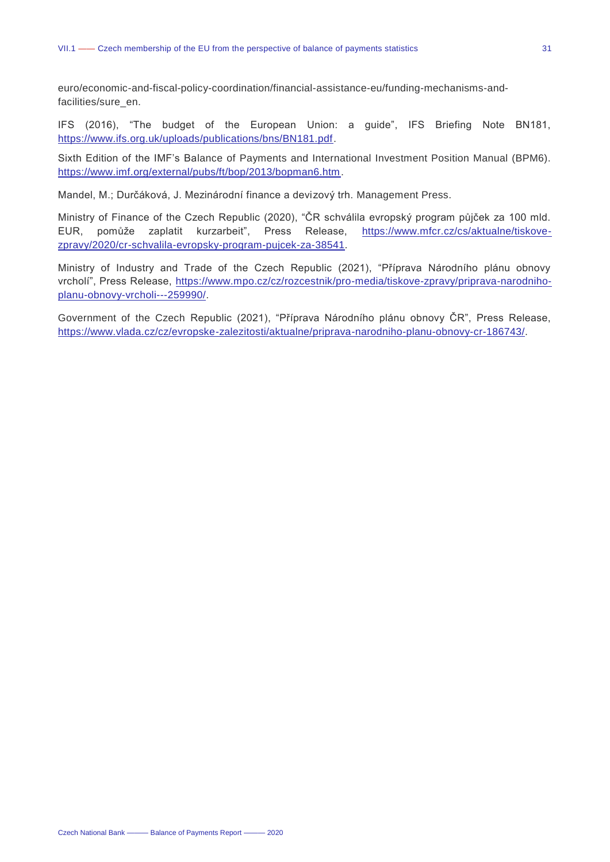euro/economic-and-fiscal-policy-coordination/financial-assistance-eu/funding-mechanisms-andfacilities/sure\_en.

IFS (2016), "The budget of the European Union: a guide", IFS Briefing Note BN181, [https://www.ifs.org.uk/uploads/publications/bns/BN181.pdf.](https://www.ifs.org.uk/uploads/publications/bns/BN181.pdf)

Sixth Edition of the IMF's Balance of Payments and International Investment Position Manual (BPM6). [https://www.imf.org/external/pubs/ft/bop/2013/bopman6.htm.](https://www.imf.org/external/pubs/ft/bop/2007/bopman6.htm)

Mandel, M.; Durčáková, J. Mezinárodní finance a devizový trh. Management Press.

Ministry of Finance of the Czech Republic (2020), "ČR schválila evropský program půjček za 100 mld. EUR, pomůže zaplatit kurzarbeit", Press Release, [https://www.mfcr.cz/cs/aktualne/tiskove](https://www.mfcr.cz/cs/aktualne/tiskove-zpravy/2020/cr-schvalila-evropsky-program-pujcek-za-38541)[zpravy/2020/cr-schvalila-evropsky-program-pujcek-za-38541.](https://www.mfcr.cz/cs/aktualne/tiskove-zpravy/2020/cr-schvalila-evropsky-program-pujcek-za-38541)

Ministry of Industry and Trade of the Czech Republic (2021), "Příprava Národního plánu obnovy vrcholí", Press Release, [https://www.mpo.cz/cz/rozcestnik/pro-media/tiskove-zpravy/priprava-narodniho](https://www.mpo.cz/cz/rozcestnik/pro-media/tiskove-zpravy/priprava-narodniho-planu-obnovy-vrcholi---259990/)[planu-obnovy-vrcholi---259990/.](https://www.mpo.cz/cz/rozcestnik/pro-media/tiskove-zpravy/priprava-narodniho-planu-obnovy-vrcholi---259990/)

Government of the Czech Republic (2021), "Příprava Národního plánu obnovy ČR", Press Release, [https://www.vlada.cz/cz/evropske-zalezitosti/aktualne/priprava-narodniho-planu-obnovy-cr-186743/.](https://www.vlada.cz/cz/evropske-zalezitosti/aktualne/priprava-narodniho-planu-obnovy-cr-186743/)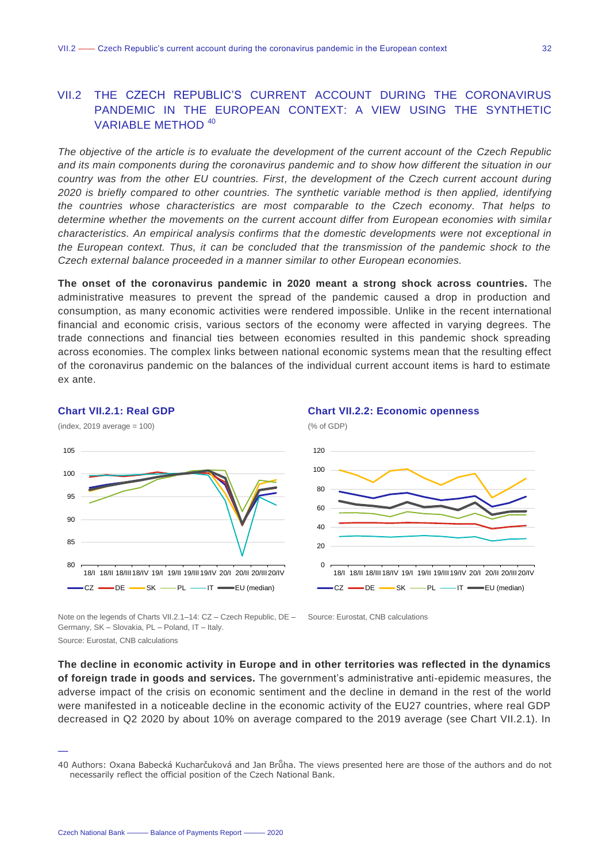## <span id="page-31-0"></span>VII.2 THE CZECH REPUBLIC'S CURRENT ACCOUNT DURING THE CORONAVIRUS PANDEMIC IN THE EUROPEAN CONTEXT: A VIEW USING THE SYNTHETIC VARIABLE METHOD <sup>40</sup>

*The objective of the article is to evaluate the development of the current account of the Czech Republic and its main components during the coronavirus pandemic and to show how different the situation in our country was from the other EU countries. First, the development of the Czech current account during 2020 is briefly compared to other countries. The synthetic variable method is then applied, identifying the countries whose characteristics are most comparable to the Czech economy. That helps to determine whether the movements on the current account differ from European economies with similar characteristics. An empirical analysis confirms that the domestic developments were not exceptional in the European context. Thus, it can be concluded that the transmission of the pandemic shock to the Czech external balance proceeded in a manner similar to other European economies.*

**The onset of the coronavirus pandemic in 2020 meant a strong shock across countries.** The administrative measures to prevent the spread of the pandemic caused a drop in production and consumption, as many economic activities were rendered impossible. Unlike in the recent international financial and economic crisis, various sectors of the economy were affected in varying degrees. The trade connections and financial ties between economies resulted in this pandemic shock spreading across economies. The complex links between national economic systems mean that the resulting effect of the coronavirus pandemic on the balances of the individual current account items is hard to estimate ex ante.

## **Chart VII.2.1: Real GDP**



Note on the legends of Charts VII.2.1–14: CZ – Czech Republic, DE – Source: Eurostat, CNB calculations Germany, SK – Slovakia, PL – Poland, IT – Italy.

Source: Eurostat, CNB calculations

—

**The decline in economic activity in Europe and in other territories was reflected in the dynamics of foreign trade in goods and services.** The government's administrative anti-epidemic measures, the adverse impact of the crisis on economic sentiment and the decline in demand in the rest of the world were manifested in a noticeable decline in the economic activity of the EU27 countries, where real GDP decreased in Q2 2020 by about 10% on average compared to the 2019 average (see Chart VII.2.1). In

<sup>40</sup> Authors: Oxana Babecká Kucharčuková and Jan Brůha. The views presented here are those of the authors and do not necessarily reflect the official position of the Czech National Bank.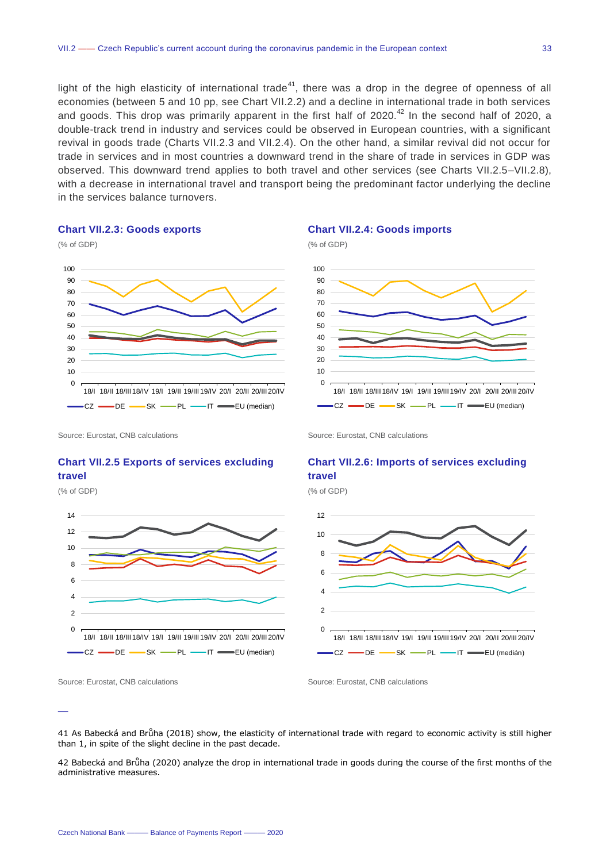light of the high elasticity of international trade<sup>41</sup>, there was a drop in the degree of openness of all economies (between 5 and 10 pp, see Chart VII.2.2) and a decline in international trade in both services and goods. This drop was primarily apparent in the first half of  $2020$ .<sup>42</sup> In the second half of 2020, a double-track trend in industry and services could be observed in European countries, with a significant revival in goods trade (Charts VII.2.3 and VII.2.4). On the other hand, a similar revival did not occur for trade in services and in most countries a downward trend in the share of trade in services in GDP was observed. This downward trend applies to both travel and other services (see Charts VII.2.5–VII.2.8), with a decrease in international travel and transport being the predominant factor underlying the decline in the services balance turnovers.

#### **Chart VII.2.3: Goods exports**



#### **Chart VII.2.4: Goods imports**



Source: Eurostat, CNB calculations **Source: Eurostat, CNB calculations** Source: Eurostat, CNB calculations

## **Chart VII.2.5 Exports of services excluding travel**

(% of GDP)

—



Source: Eurostat, CNB calculations Source: Eurostat, CNB calculations

### **Chart VII.2.6: Imports of services excluding travel**

(% of GDP)



41 As Babecká and Brůha (2018) show, the elasticity of international trade with regard to economic activity is still higher than 1, in spite of the slight decline in the past decade.

42 Babecká and Brůha (2020) analyze the drop in international trade in goods during the course of the first months of the administrative measures.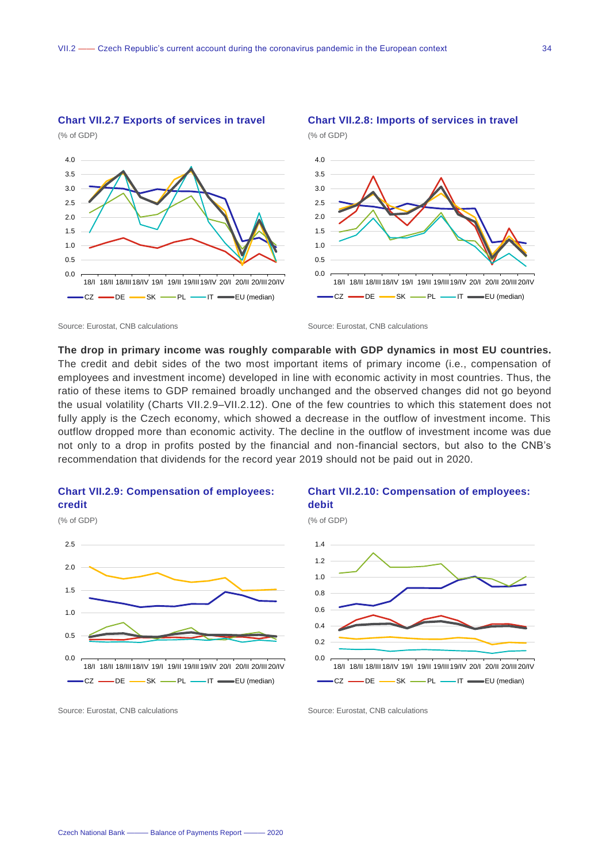

## **Chart VII.2.7 Exports of services in travel**

**The drop in primary income was roughly comparable with GDP dynamics in most EU countries.**  The credit and debit sides of the two most important items of primary income (i.e., compensation of employees and investment income) developed in line with economic activity in most countries. Thus, the ratio of these items to GDP remained broadly unchanged and the observed changes did not go beyond the usual volatility (Charts VII.2.9–VII.2.12). One of the few countries to which this statement does not fully apply is the Czech economy, which showed a decrease in the outflow of investment income. This outflow dropped more than economic activity. The decline in the outflow of investment income was due not only to a drop in profits posted by the financial and non-financial sectors, but also to the CNB's recommendation that dividends for the record year 2019 should not be paid out in 2020.



#### **Chart VII.2.10: Compensation of employees: debit**

**Chart VII.2.8: Imports of services in travel**



Source: Eurostat, CNB calculations **Source: Eurostat, CNB calculations** Source: Eurostat, CNB calculations

Source: Eurostat, CNB calculations Source: Eurostat, CNB calculations Source: Eurostat, CNB calculations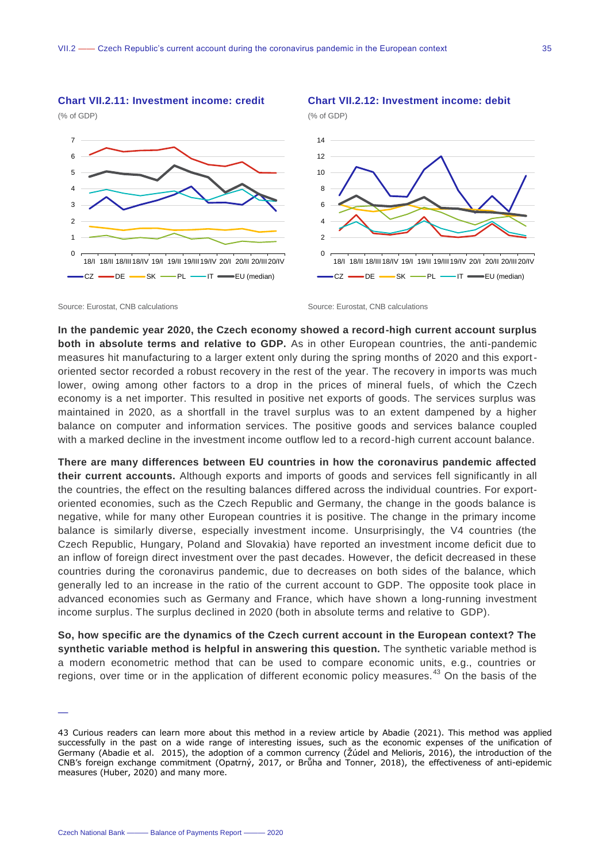#### **Chart VII.2.11: Investment income: credit**







**Chart VII.2.12: Investment income: debit**

Source: Eurostat, CNB calculations **Source: Eurostat, CNB calculations** Source: Eurostat, CNB calculations

**In the pandemic year 2020, the Czech economy showed a record-high current account surplus both in absolute terms and relative to GDP.** As in other European countries, the anti-pandemic measures hit manufacturing to a larger extent only during the spring months of 2020 and this exportoriented sector recorded a robust recovery in the rest of the year. The recovery in imports was much lower, owing among other factors to a drop in the prices of mineral fuels, of which the Czech economy is a net importer. This resulted in positive net exports of goods. The services surplus was maintained in 2020, as a shortfall in the travel surplus was to an extent dampened by a higher balance on computer and information services. The positive goods and services balance coupled with a marked decline in the investment income outflow led to a record-high current account balance.

**There are many differences between EU countries in how the coronavirus pandemic affected their current accounts.** Although exports and imports of goods and services fell significantly in all the countries, the effect on the resulting balances differed across the individual countries. For exportoriented economies, such as the Czech Republic and Germany, the change in the goods balance is negative, while for many other European countries it is positive. The change in the primary income balance is similarly diverse, especially investment income. Unsurprisingly, the V4 countries (the Czech Republic, Hungary, Poland and Slovakia) have reported an investment income deficit due to an inflow of foreign direct investment over the past decades. However, the deficit decreased in these countries during the coronavirus pandemic, due to decreases on both sides of the balance, which generally led to an increase in the ratio of the current account to GDP. The opposite took place in advanced economies such as Germany and France, which have shown a long-running investment income surplus. The surplus declined in 2020 (both in absolute terms and relative to GDP).

**So, how specific are the dynamics of the Czech current account in the European context? The synthetic variable method is helpful in answering this question.** The synthetic variable method is a modern econometric method that can be used to compare economic units, e.g., countries or regions, over time or in the application of different economic policy measures.<sup>43</sup> On the basis of the

<sup>—</sup>

<sup>43</sup> Curious readers can learn more about this method in a review article by Abadie (2021). This method was applied successfully in the past on a wide range of interesting issues, such as the economic expenses of the unification of Germany (Abadie et al. 2015), the adoption of a common currency (Žúdel and Melioris, 2016), the introduction of the CNB's foreign exchange commitment (Opatrný, 2017, or Brůha and Tonner, 2018), the effectiveness of anti-epidemic measures (Huber, 2020) and many more.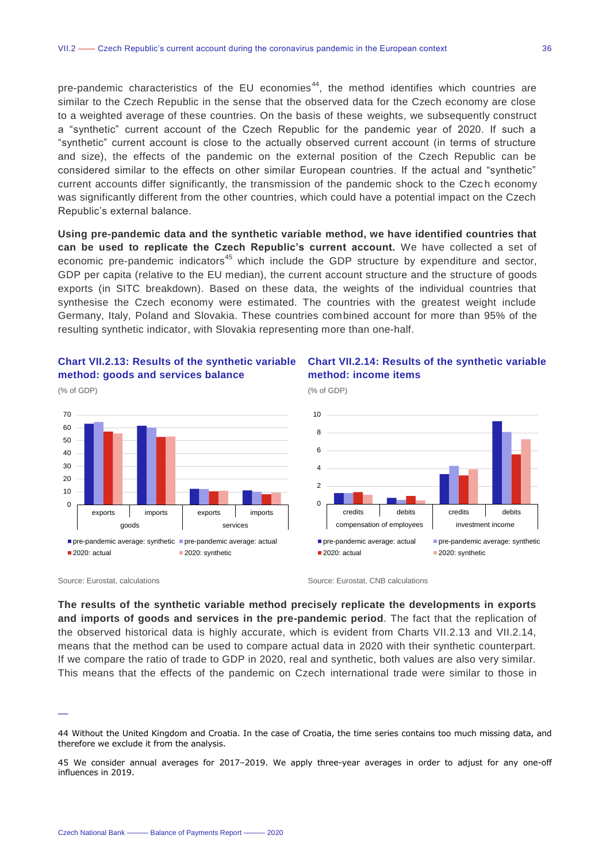pre-pandemic characteristics of the EU economies<sup>44</sup>, the method identifies which countries are similar to the Czech Republic in the sense that the observed data for the Czech economy are close to a weighted average of these countries. On the basis of these weights, we subsequently construct a "synthetic" current account of the Czech Republic for the pandemic year of 2020. If such a "synthetic" current account is close to the actually observed current account (in terms of structure and size), the effects of the pandemic on the external position of the Czech Republic can be considered similar to the effects on other similar European countries. If the actual and "synthetic" current accounts differ significantly, the transmission of the pandemic shock to the Czech economy was significantly different from the other countries, which could have a potential impact on the Czech Republic's external balance.

**Using pre-pandemic data and the synthetic variable method, we have identified countries that can be used to replicate the Czech Republic's current account.** We have collected a set of economic pre-pandemic indicators<sup>45</sup> which include the GDP structure by expenditure and sector, GDP per capita (relative to the EU median), the current account structure and the structure of goods exports (in SITC breakdown). Based on these data, the weights of the individual countries that synthesise the Czech economy were estimated. The countries with the greatest weight include Germany, Italy, Poland and Slovakia. These countries combined account for more than 95% of the resulting synthetic indicator, with Slovakia representing more than one-half.

(% of GDP)





**Chart VII.2.14: Results of the synthetic variable method: income items**



**The results of the synthetic variable method precisely replicate the developments in exports and imports of goods and services in the pre-pandemic period**. The fact that the replication of the observed historical data is highly accurate, which is evident from Charts VII.2.13 and VII.2.14, means that the method can be used to compare actual data in 2020 with their synthetic counterpart. If we compare the ratio of trade to GDP in 2020, real and synthetic, both values are also very similar. This means that the effects of the pandemic on Czech international trade were similar to those in

Source: Eurostat, calculations Source: Eurostat, CNB calculations Source: Eurostat, CNB calculations

<sup>—</sup>

<sup>44</sup> Without the United Kingdom and Croatia. In the case of Croatia, the time series contains too much missing data, and therefore we exclude it from the analysis.

<sup>45</sup> We consider annual averages for 2017–2019. We apply three-year averages in order to adjust for any one-off influences in 2019.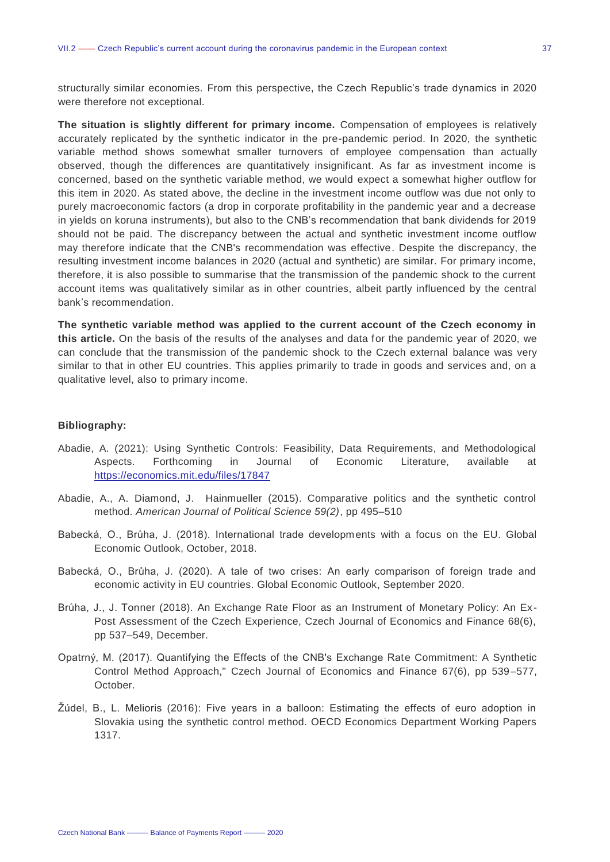structurally similar economies. From this perspective, the Czech Republic's trade dynamics in 2020 were therefore not exceptional.

**The situation is slightly different for primary income.** Compensation of employees is relatively accurately replicated by the synthetic indicator in the pre-pandemic period. In 2020, the synthetic variable method shows somewhat smaller turnovers of employee compensation than actually observed, though the differences are quantitatively insignificant. As far as investment income is concerned, based on the synthetic variable method, we would expect a somewhat higher outflow for this item in 2020. As stated above, the decline in the investment income outflow was due not only to purely macroeconomic factors (a drop in corporate profitability in the pandemic year and a decrease in yields on koruna instruments), but also to the CNB's recommendation that bank dividends for 2019 should not be paid. The discrepancy between the actual and synthetic investment income outflow may therefore indicate that the CNB's recommendation was effective. Despite the discrepancy, the resulting investment income balances in 2020 (actual and synthetic) are similar. For primary income, therefore, it is also possible to summarise that the transmission of the pandemic shock to the current account items was qualitatively similar as in other countries, albeit partly influenced by the central bank's recommendation.

**The synthetic variable method was applied to the current account of the Czech economy in this article.** On the basis of the results of the analyses and data for the pandemic year of 2020, we can conclude that the transmission of the pandemic shock to the Czech external balance was very similar to that in other EU countries. This applies primarily to trade in goods and services and, on a qualitative level, also to primary income.

#### **Bibliography:**

- Abadie, A. (2021): Using Synthetic Controls: Feasibility, Data Requirements, and Methodological Aspects. Forthcoming in Journal of Economic Literature, available at <https://economics.mit.edu/files/17847>
- Abadie, A., A. Diamond, J. Hainmueller (2015). Comparative politics and the synthetic control method. *American Journal of Political Science 59(2)*, pp 495–510
- Babecká, O., Brůha, J. (2018). International trade developments with a focus on the EU. Global Economic Outlook, October, 2018.
- Babecká, O., Brůha, J. (2020). A tale of two crises: An early comparison of foreign trade and economic activity in EU countries. Global Economic Outlook, September 2020.
- Brůha, J., J. Tonner (2018). An Exchange Rate Floor as an Instrument of Monetary Policy: An Ex-Post Assessment of the Czech Experience, Czech Journal of Economics and Finance 68(6), pp 537–549, December.
- Opatrný, M. (2017). Quantifying the Effects of the CNB's Exchange Rate Commitment: A Synthetic Control Method Approach," Czech Journal of Economics and Finance 67(6), pp 539–577, October.
- Žúdel, B., L. Melioris (2016): Five years in a balloon: Estimating the effects of euro adoption in Slovakia using the synthetic control method. OECD Economics Department Working Papers 1317.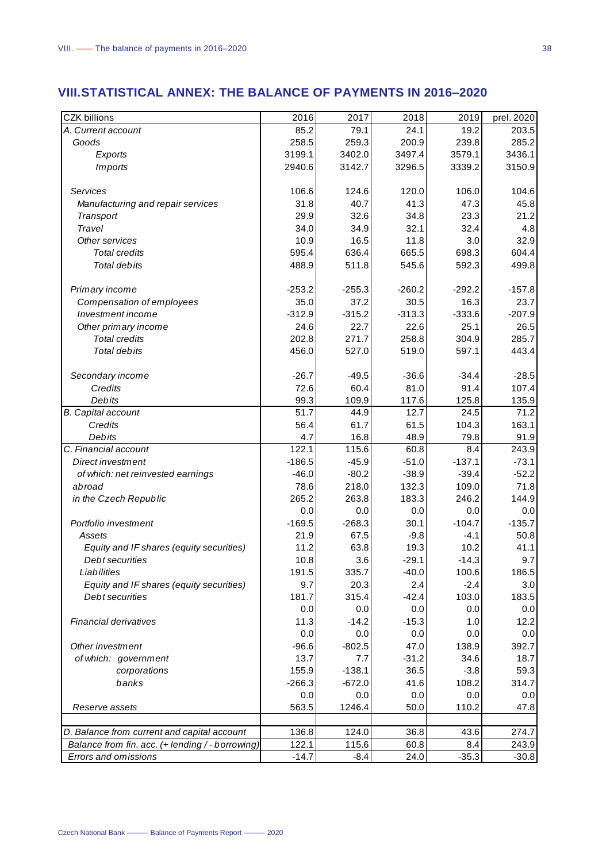<span id="page-37-0"></span>

| <b>CZK billions</b>                              | 2016     | 2017     | 2018     | 2019     | prel. 2020 |
|--------------------------------------------------|----------|----------|----------|----------|------------|
| A. Current account                               | 85.2     | 79.1     | 24.1     | 19.2     | 203.5      |
| Goods                                            | 258.5    | 259.3    | 200.9    | 239.8    | 285.2      |
| Exports                                          | 3199.1   | 3402.0   | 3497.4   | 3579.1   | 3436.1     |
| <b>Imports</b>                                   | 2940.6   | 3142.7   | 3296.5   | 3339.2   | 3150.9     |
|                                                  |          |          |          |          |            |
| Services                                         | 106.6    | 124.6    | 120.0    | 106.0    | 104.6      |
| Manufacturing and repair services                | 31.8     | 40.7     | 41.3     | 47.3     | 45.8       |
| Transport                                        | 29.9     | 32.6     | 34.8     | 23.3     | 21.2       |
| Travel                                           | 34.0     | 34.9     | 32.1     | 32.4     | 4.8        |
| Other services                                   | 10.9     | 16.5     | 11.8     | 3.0      | 32.9       |
| <b>Total credits</b>                             | 595.4    | 636.4    | 665.5    | 698.3    | 604.4      |
| Total debits                                     | 488.9    | 511.8    | 545.6    | 592.3    | 499.8      |
|                                                  |          |          |          |          |            |
| Primary income                                   | $-253.2$ | $-255.3$ | $-260.2$ | $-292.2$ | $-157.8$   |
| Compensation of employees                        | 35.0     | 37.2     | 30.5     | 16.3     | 23.7       |
| Investment income                                | $-312.9$ | $-315.2$ | $-313.3$ | $-333.6$ | $-207.9$   |
| Other primary income                             | 24.6     | 22.7     | 22.6     | 25.1     | 26.5       |
| <b>Total credits</b>                             | 202.8    | 271.7    | 258.8    | 304.9    | 285.7      |
| Total debits                                     | 456.0    | 527.0    | 519.0    | 597.1    | 443.4      |
|                                                  |          |          |          |          |            |
| Secondary income                                 | $-26.7$  | $-49.5$  | $-36.6$  | $-34.4$  | $-28.5$    |
| Credits                                          | 72.6     | 60.4     | 81.0     | 91.4     | 107.4      |
| Debits                                           | 99.3     | 109.9    | 117.6    | 125.8    | 135.9      |
| <b>B.</b> Capital account                        | 51.7     | 44.9     | 12.7     | 24.5     | 71.2       |
| Credits                                          | 56.4     | 61.7     | 61.5     | 104.3    | 163.1      |
| Debits                                           | 4.7      | 16.8     | 48.9     | 79.8     | 91.9       |
| C. Financial account                             | 122.1    | 115.6    | 60.8     | 8.4      | 243.9      |
| Direct investment                                | $-186.5$ | $-45.9$  | $-51.0$  | $-137.1$ | $-73.1$    |
| of which: net reinvested earnings                | $-46.0$  | $-80.2$  | $-38.9$  | $-39.4$  | $-52.2$    |
| abroad                                           | 78.6     | 218.0    | 132.3    | 109.0    | 71.8       |
| in the Czech Republic                            | 265.2    | 263.8    | 183.3    | 246.2    | 144.9      |
|                                                  | 0.0      | 0.0      | 0.0      | 0.0      | 0.0        |
| Portfolio investment                             | $-169.5$ | $-268.3$ | 30.1     | $-104.7$ | $-135.7$   |
| Assets                                           | 21.9     | 67.5     | $-9.8$   | $-4.1$   | 50.8       |
| Equity and IF shares (equity securities)         | 11.2     | 63.8     | 19.3     | 10.2     | 41.1       |
| Debt securities                                  | 10.8     | 3.6      | $-29.1$  | $-14.3$  | 9.7        |
| Liabilities                                      |          |          |          |          |            |
|                                                  | 191.5    | 335.7    | -40.0    | 100.6    | 186.5      |
| Equity and IF shares (equity securities)         | 9.7      | 20.3     | 2.4      | $-2.4$   | 3.0        |
| Debt securities                                  | 181.7    | 315.4    | $-42.4$  | 103.0    | 183.5      |
|                                                  | 0.0      | 0.0      | 0.0      | 0.0      | 0.0        |
| Financial derivatives                            | 11.3     | $-14.2$  | $-15.3$  | 1.0      | 12.2       |
|                                                  | 0.0      | 0.0      | 0.0      | 0.0      | 0.0        |
| Other investment                                 | $-96.6$  | $-802.5$ | 47.0     | 138.9    | 392.7      |
| of which: government                             | 13.7     | 7.7      | $-31.2$  | 34.6     | 18.7       |
| corporations                                     | 155.9    | $-138.1$ | 36.5     | $-3.8$   | 59.3       |
| banks                                            | $-266.3$ | $-672.0$ | 41.6     | 108.2    | 314.7      |
|                                                  | 0.0      | 0.0      | 0.0      | 0.0      | 0.0        |
| Reserve assets                                   | 563.5    | 1246.4   | 50.0     | 110.2    | 47.8       |
|                                                  |          |          |          |          |            |
| D. Balance from current and capital account      | 136.8    | 124.0    | 36.8     | 43.6     | 274.7      |
| Balance from fin. acc. (+ lending / - borrowing) | 122.1    | 115.6    | 60.8     | 8.4      | 243.9      |
| Errors and omissions                             | $-14.7$  | $-8.4$   | 24.0     | $-35.3$  | $-30.8$    |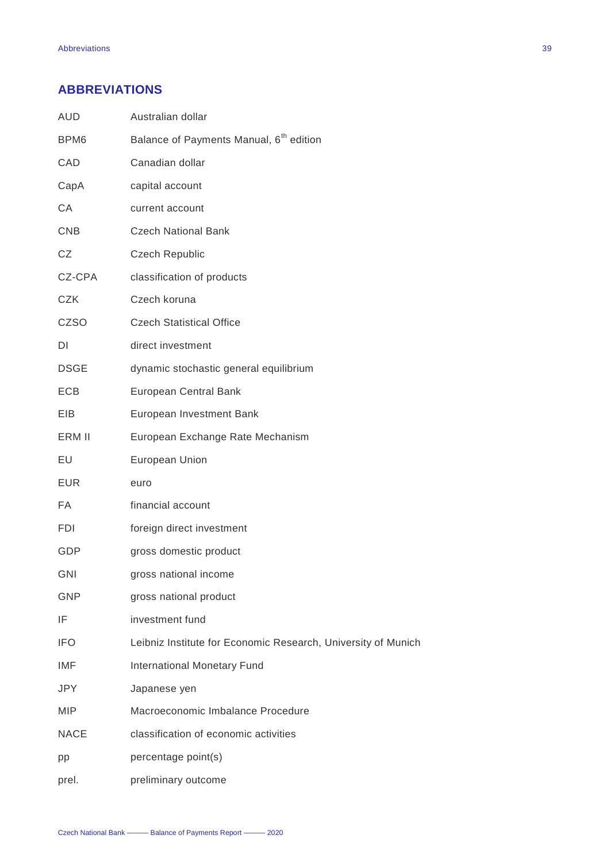## <span id="page-38-0"></span>**ABBREVIATIONS**

| <b>AUD</b>       | Australian dollar                                             |
|------------------|---------------------------------------------------------------|
| BPM <sub>6</sub> | Balance of Payments Manual, 6 <sup>th</sup> edition           |
| CAD              | Canadian dollar                                               |
| CapA             | capital account                                               |
| CA               | current account                                               |
| <b>CNB</b>       | <b>Czech National Bank</b>                                    |
| CZ               | <b>Czech Republic</b>                                         |
| CZ-CPA           | classification of products                                    |
| <b>CZK</b>       | Czech koruna                                                  |
| <b>CZSO</b>      | <b>Czech Statistical Office</b>                               |
| DI               | direct investment                                             |
| <b>DSGE</b>      | dynamic stochastic general equilibrium                        |
| <b>ECB</b>       | <b>European Central Bank</b>                                  |
| EIB.             | European Investment Bank                                      |
| ERM II           | European Exchange Rate Mechanism                              |
| EU               | European Union                                                |
| <b>EUR</b>       | euro                                                          |
| FA               | financial account                                             |
| <b>FDI</b>       | foreign direct investment                                     |
| GDP              | gross domestic product                                        |
| <b>GNI</b>       | gross national income                                         |
| <b>GNP</b>       | gross national product                                        |
| IF               | investment fund                                               |
| <b>IFO</b>       | Leibniz Institute for Economic Research, University of Munich |
| IMF              | International Monetary Fund                                   |
| <b>JPY</b>       | Japanese yen                                                  |
| <b>MIP</b>       | Macroeconomic Imbalance Procedure                             |
| <b>NACE</b>      | classification of economic activities                         |
| pp               | percentage point(s)                                           |
| prel.            | preliminary outcome                                           |